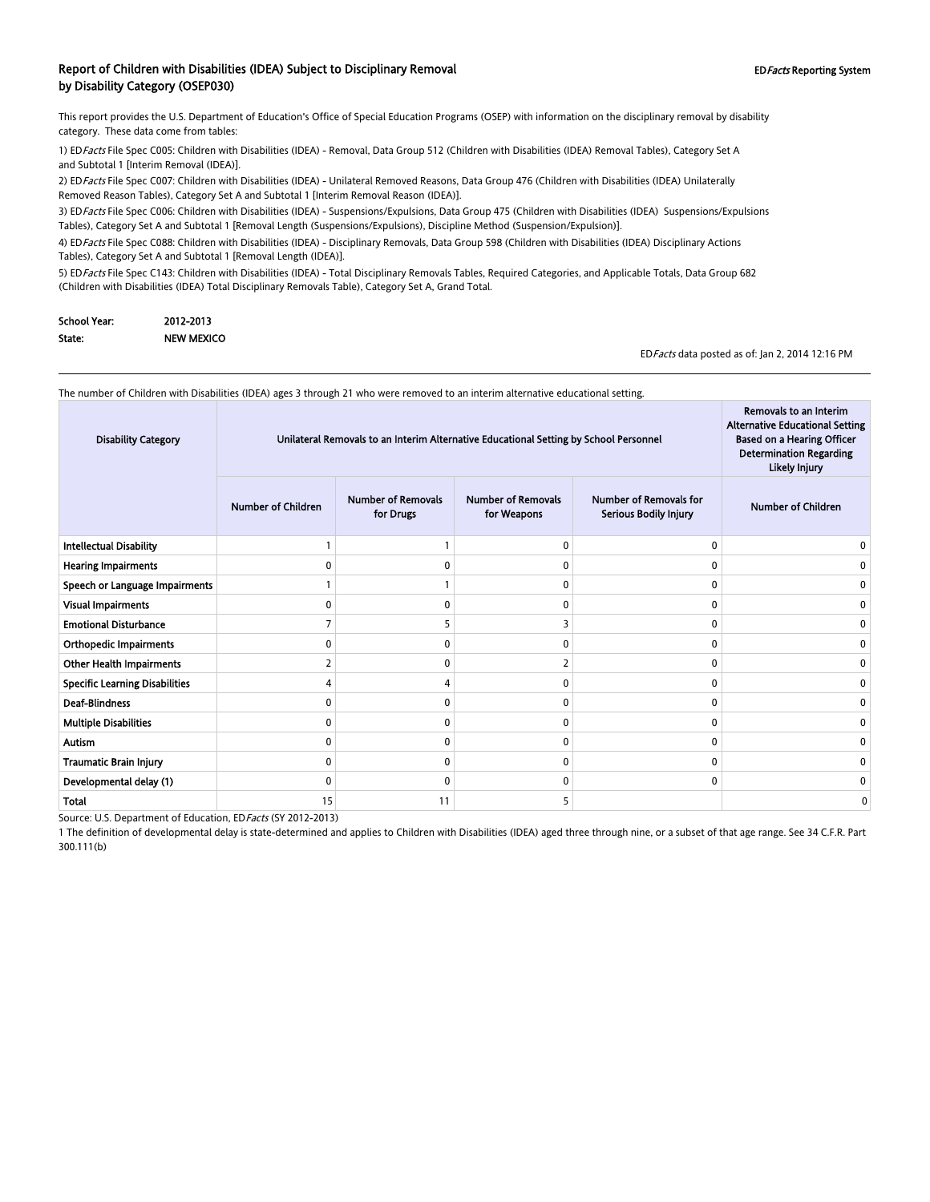#### Report of Children with Disabilities (IDEA) Subject to Disciplinary Removal **EDFacts Reporting System** EDFacts Reporting System by Disability Category (OSEP030)

This report provides the U.S. Department of Education's Office of Special Education Programs (OSEP) with information on the disciplinary removal by disability category. These data come from tables:

1) EDFacts File Spec C005: Children with Disabilities (IDEA) - Removal, Data Group 512 (Children with Disabilities (IDEA) Removal Tables), Category Set A and Subtotal 1 [Interim Removal (IDEA)].

2) ED Facts File Spec C007: Children with Disabilities (IDEA) - Unilateral Removed Reasons, Data Group 476 (Children with Disabilities (IDEA) Unilaterally Removed Reason Tables), Category Set A and Subtotal 1 [Interim Removal Reason (IDEA)].

3) ED Facts File Spec C006: Children with Disabilities (IDEA) - Suspensions/Expulsions, Data Group 475 (Children with Disabilities (IDEA) Suspensions/Expulsions Tables), Category Set A and Subtotal 1 [Removal Length (Suspensions/Expulsions), Discipline Method (Suspension/Expulsion)].

4) EDFacts File Spec C088: Children with Disabilities (IDEA) - Disciplinary Removals, Data Group 598 (Children with Disabilities (IDEA) Disciplinary Actions Tables), Category Set A and Subtotal 1 [Removal Length (IDEA)].

5) ED Facts File Spec C143: Children with Disabilities (IDEA) - Total Disciplinary Removals Tables, Required Categories, and Applicable Totals, Data Group 682 (Children with Disabilities (IDEA) Total Disciplinary Removals Table), Category Set A, Grand Total.

| School Year: | 2012-2013         |  |
|--------------|-------------------|--|
| State:       | <b>NEW MEXICO</b> |  |

EDFacts data posted as of: Jan 2, 2014 12:16 PM

Removals to an Interim

The number of Children with Disabilities (IDEA) ages 3 through 21 who were removed to an interim alternative educational setting.

| <b>Number of Removals</b><br><b>Number of Removals</b><br>Number of Removals for<br><b>Number of Children</b><br><b>Number of Children</b><br>for Weapons<br>for Drugs<br>Serious Bodily Injury<br><b>Intellectual Disability</b><br>$\Omega$<br>0<br>0<br><b>Hearing Impairments</b><br>$\Omega$<br>0<br>$\Omega$<br>O<br>Speech or Language Impairments<br>0<br>0<br>O<br><b>Visual Impairments</b><br>0<br>$\Omega$<br>$\mathbf{0}$<br>0<br><b>Emotional Disturbance</b><br>3<br>0<br>0<br><b>Orthopedic Impairments</b><br>0<br>0<br>0<br>ŋ<br><b>Other Health Impairments</b><br>$\overline{\phantom{0}}$<br>0<br>n<br><b>Specific Learning Disabilities</b><br>$\Omega$<br>0<br>Δ<br>O<br><b>Deaf-Blindness</b><br>$\Omega$<br>0<br>0<br>n<br>n<br><b>Multiple Disabilities</b><br>$\mathbf{0}$<br>0<br>$\Omega$<br>$\Omega$<br><b>Autism</b><br>0<br>$\Omega$<br>0<br>$\mathbf{0}$<br>O<br><b>Traumatic Brain Injury</b><br>0<br>0<br>0<br>n<br>O<br>Developmental delay (1)<br>$\mathbf{0}$<br>$\mathbf{0}$<br>0<br>C<br>11<br>15<br>5<br>Total<br>0 | <b>Disability Category</b> | Unilateral Removals to an Interim Alternative Educational Setting by School Personnel | Removais to an interim<br><b>Alternative Educational Setting</b><br><b>Based on a Hearing Officer</b><br><b>Determination Regarding</b><br>Likely Injury |  |  |
|--------------------------------------------------------------------------------------------------------------------------------------------------------------------------------------------------------------------------------------------------------------------------------------------------------------------------------------------------------------------------------------------------------------------------------------------------------------------------------------------------------------------------------------------------------------------------------------------------------------------------------------------------------------------------------------------------------------------------------------------------------------------------------------------------------------------------------------------------------------------------------------------------------------------------------------------------------------------------------------------------------------------------------------------------------------|----------------------------|---------------------------------------------------------------------------------------|----------------------------------------------------------------------------------------------------------------------------------------------------------|--|--|
|                                                                                                                                                                                                                                                                                                                                                                                                                                                                                                                                                                                                                                                                                                                                                                                                                                                                                                                                                                                                                                                              |                            |                                                                                       |                                                                                                                                                          |  |  |
|                                                                                                                                                                                                                                                                                                                                                                                                                                                                                                                                                                                                                                                                                                                                                                                                                                                                                                                                                                                                                                                              |                            |                                                                                       |                                                                                                                                                          |  |  |
|                                                                                                                                                                                                                                                                                                                                                                                                                                                                                                                                                                                                                                                                                                                                                                                                                                                                                                                                                                                                                                                              |                            |                                                                                       |                                                                                                                                                          |  |  |
|                                                                                                                                                                                                                                                                                                                                                                                                                                                                                                                                                                                                                                                                                                                                                                                                                                                                                                                                                                                                                                                              |                            |                                                                                       |                                                                                                                                                          |  |  |
|                                                                                                                                                                                                                                                                                                                                                                                                                                                                                                                                                                                                                                                                                                                                                                                                                                                                                                                                                                                                                                                              |                            |                                                                                       |                                                                                                                                                          |  |  |
|                                                                                                                                                                                                                                                                                                                                                                                                                                                                                                                                                                                                                                                                                                                                                                                                                                                                                                                                                                                                                                                              |                            |                                                                                       |                                                                                                                                                          |  |  |
|                                                                                                                                                                                                                                                                                                                                                                                                                                                                                                                                                                                                                                                                                                                                                                                                                                                                                                                                                                                                                                                              |                            |                                                                                       |                                                                                                                                                          |  |  |
|                                                                                                                                                                                                                                                                                                                                                                                                                                                                                                                                                                                                                                                                                                                                                                                                                                                                                                                                                                                                                                                              |                            |                                                                                       |                                                                                                                                                          |  |  |
|                                                                                                                                                                                                                                                                                                                                                                                                                                                                                                                                                                                                                                                                                                                                                                                                                                                                                                                                                                                                                                                              |                            |                                                                                       |                                                                                                                                                          |  |  |
|                                                                                                                                                                                                                                                                                                                                                                                                                                                                                                                                                                                                                                                                                                                                                                                                                                                                                                                                                                                                                                                              |                            |                                                                                       |                                                                                                                                                          |  |  |
|                                                                                                                                                                                                                                                                                                                                                                                                                                                                                                                                                                                                                                                                                                                                                                                                                                                                                                                                                                                                                                                              |                            |                                                                                       |                                                                                                                                                          |  |  |
|                                                                                                                                                                                                                                                                                                                                                                                                                                                                                                                                                                                                                                                                                                                                                                                                                                                                                                                                                                                                                                                              |                            |                                                                                       |                                                                                                                                                          |  |  |
|                                                                                                                                                                                                                                                                                                                                                                                                                                                                                                                                                                                                                                                                                                                                                                                                                                                                                                                                                                                                                                                              |                            |                                                                                       |                                                                                                                                                          |  |  |
|                                                                                                                                                                                                                                                                                                                                                                                                                                                                                                                                                                                                                                                                                                                                                                                                                                                                                                                                                                                                                                                              |                            |                                                                                       |                                                                                                                                                          |  |  |
|                                                                                                                                                                                                                                                                                                                                                                                                                                                                                                                                                                                                                                                                                                                                                                                                                                                                                                                                                                                                                                                              |                            |                                                                                       |                                                                                                                                                          |  |  |

Source: U.S. Department of Education, EDFacts (SY 2012-2013)

1 The definition of developmental delay is state-determined and applies to Children with Disabilities (IDEA) aged three through nine, or a subset of that age range. See 34 C.F.R. Part 300.111(b)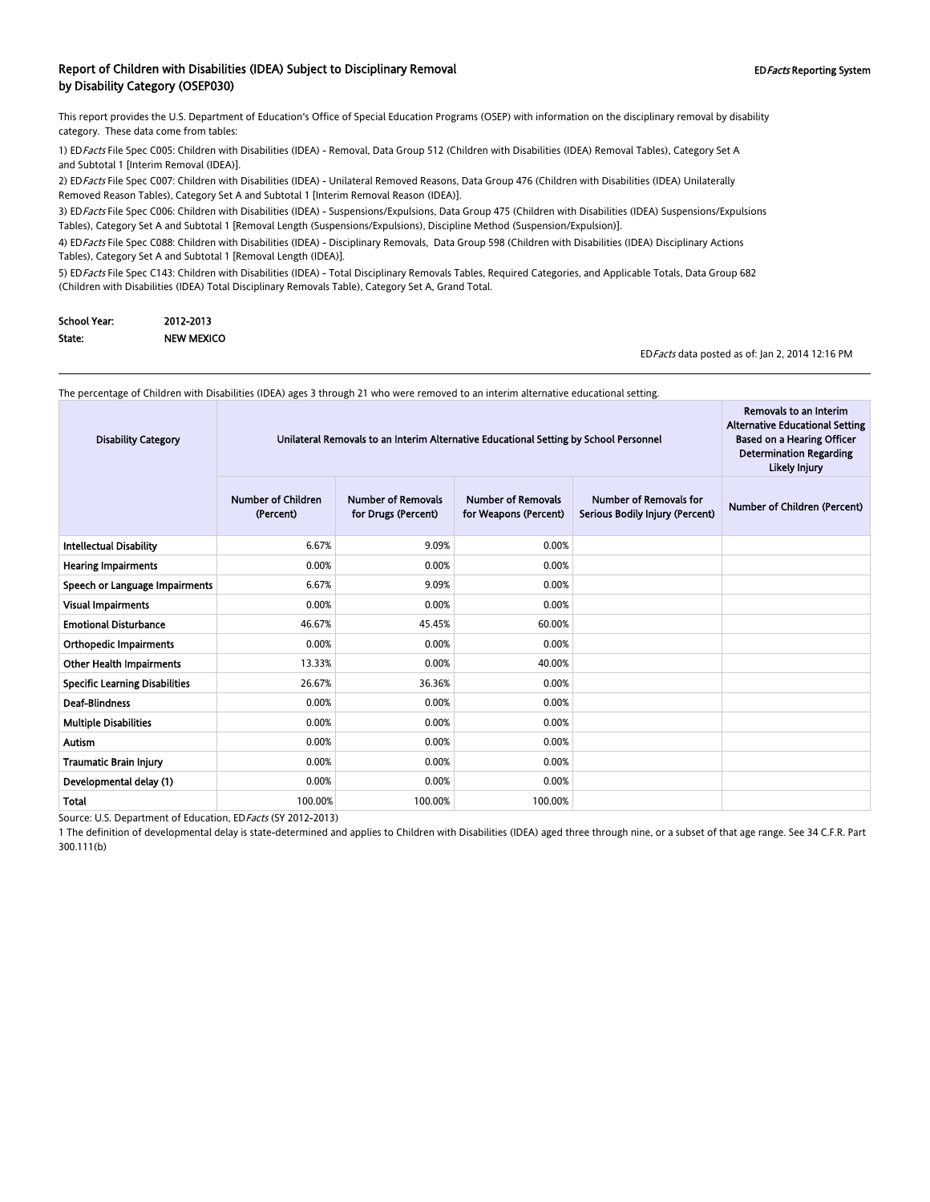#### Report of Children with Disabilities (IDEA) Subject to Disciplinary Removal **EDFacts Reporting System** EDFacts Reporting System by Disability Category (OSEP030)

This report provides the U.S. Department of Education's Office of Special Education Programs (OSEP) with information on the disciplinary removal by disability category. These data come from tables:

1) EDFacts File Spec C005: Children with Disabilities (IDEA) - Removal, Data Group 512 (Children with Disabilities (IDEA) Removal Tables), Category Set A and Subtotal 1 [Interim Removal (IDEA)].

2) EDFacts File Spec C007: Children with Disabilities (IDEA) - Unilateral Removed Reasons, Data Group 476 (Children with Disabilities (IDEA) Unilaterally Removed Reason Tables), Category Set A and Subtotal 1 [Interim Removal Reason (IDEA)].

3) ED Facts File Spec C006: Children with Disabilities (IDEA) - Suspensions/Expulsions, Data Group 475 (Children with Disabilities (IDEA) Suspensions/Expulsions Tables), Category Set A and Subtotal 1 [Removal Length (Suspensions/Expulsions), Discipline Method (Suspension/Expulsion)].

4) EDFacts File Spec C088: Children with Disabilities (IDEA) - Disciplinary Removals, Data Group 598 (Children with Disabilities (IDEA) Disciplinary Actions Tables), Category Set A and Subtotal 1 [Removal Length (IDEA)].

5) ED Facts File Spec C143: Children with Disabilities (IDEA) - Total Disciplinary Removals Tables, Required Categories, and Applicable Totals, Data Group 682 (Children with Disabilities (IDEA) Total Disciplinary Removals Table), Category Set A, Grand Total.

| School Year: | 2012-2013         |
|--------------|-------------------|
| State:       | <b>NEW MEXICO</b> |

EDFacts data posted as of: Jan 2, 2014 12:16 PM

The percentage of Children with Disabilities (IDEA) ages 3 through 21 who were removed to an interim alternative educational setting.

| <b>Disability Category</b>            | Unilateral Removals to an Interim Alternative Educational Setting by School Personnel | Removals to an Interim<br><b>Alternative Educational Setting</b><br><b>Based on a Hearing Officer</b><br><b>Determination Regarding</b><br>Likely Injury |                                                    |                                                                  |                              |
|---------------------------------------|---------------------------------------------------------------------------------------|----------------------------------------------------------------------------------------------------------------------------------------------------------|----------------------------------------------------|------------------------------------------------------------------|------------------------------|
|                                       | <b>Number of Children</b><br>(Percent)                                                | <b>Number of Removals</b><br>for Drugs (Percent)                                                                                                         | <b>Number of Removals</b><br>for Weapons (Percent) | <b>Number of Removals for</b><br>Serious Bodily Injury (Percent) | Number of Children (Percent) |
| <b>Intellectual Disability</b>        | 6.67%                                                                                 | 9.09%                                                                                                                                                    | 0.00%                                              |                                                                  |                              |
| <b>Hearing Impairments</b>            | 0.00%                                                                                 | 0.00%                                                                                                                                                    | 0.00%                                              |                                                                  |                              |
| Speech or Language Impairments        | 6.67%                                                                                 | 9.09%                                                                                                                                                    | 0.00%                                              |                                                                  |                              |
| <b>Visual Impairments</b>             | 0.00%                                                                                 | 0.00%                                                                                                                                                    | 0.00%                                              |                                                                  |                              |
| <b>Emotional Disturbance</b>          | 46.67%                                                                                | 45.45%                                                                                                                                                   | 60.00%                                             |                                                                  |                              |
| <b>Orthopedic Impairments</b>         | 0.00%                                                                                 | 0.00%                                                                                                                                                    | 0.00%                                              |                                                                  |                              |
| <b>Other Health Impairments</b>       | 13.33%                                                                                | 0.00%                                                                                                                                                    | 40.00%                                             |                                                                  |                              |
| <b>Specific Learning Disabilities</b> | 26.67%                                                                                | 36.36%                                                                                                                                                   | 0.00%                                              |                                                                  |                              |
| <b>Deaf-Blindness</b>                 | 0.00%                                                                                 | 0.00%                                                                                                                                                    | 0.00%                                              |                                                                  |                              |
| <b>Multiple Disabilities</b>          | 0.00%                                                                                 | 0.00%                                                                                                                                                    | 0.00%                                              |                                                                  |                              |
| <b>Autism</b>                         | 0.00%                                                                                 | 0.00%                                                                                                                                                    | 0.00%                                              |                                                                  |                              |
| <b>Traumatic Brain Injury</b>         | 0.00%                                                                                 | 0.00%                                                                                                                                                    | 0.00%                                              |                                                                  |                              |
| Developmental delay (1)               | 0.00%                                                                                 | 0.00%                                                                                                                                                    | 0.00%                                              |                                                                  |                              |
| Total                                 | 100.00%                                                                               | 100.00%                                                                                                                                                  | 100.00%                                            |                                                                  |                              |

Source: U.S. Department of Education, EDFacts (SY 2012-2013)

1 The definition of developmental delay is state-determined and applies to Children with Disabilities (IDEA) aged three through nine, or a subset of that age range. See 34 C.F.R. Part 300.111(b)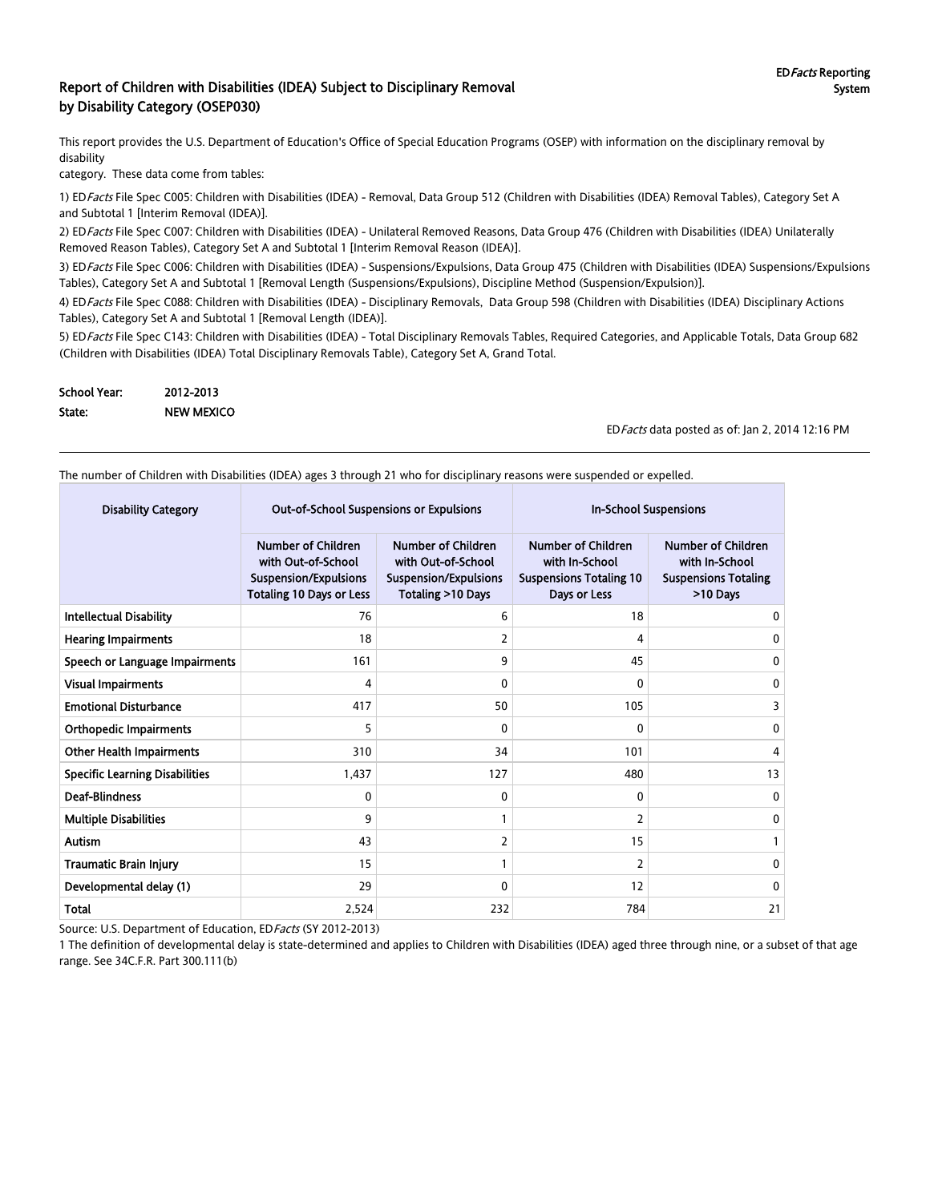#### Report of Children with Disabilities (IDEA) Subject to Disciplinary Removal by Disability Category (OSEP030)

This report provides the U.S. Department of Education's Office of Special Education Programs (OSEP) with information on the disciplinary removal by disability

category. These data come from tables:

1) ED Facts File Spec C005: Children with Disabilities (IDEA) - Removal, Data Group 512 (Children with Disabilities (IDEA) Removal Tables), Category Set A and Subtotal 1 [Interim Removal (IDEA)].

2) EDFacts File Spec C007: Children with Disabilities (IDEA) - Unilateral Removed Reasons, Data Group 476 (Children with Disabilities (IDEA) Unilaterally Removed Reason Tables), Category Set A and Subtotal 1 [Interim Removal Reason (IDEA)].

3) EDFacts File Spec C006: Children with Disabilities (IDEA) - Suspensions/Expulsions, Data Group 475 (Children with Disabilities (IDEA) Suspensions/Expulsions Tables), Category Set A and Subtotal 1 [Removal Length (Suspensions/Expulsions), Discipline Method (Suspension/Expulsion)].

4) EDFacts File Spec C088: Children with Disabilities (IDEA) - Disciplinary Removals, Data Group 598 (Children with Disabilities (IDEA) Disciplinary Actions Tables), Category Set A and Subtotal 1 [Removal Length (IDEA)].

5) ED Facts File Spec C143: Children with Disabilities (IDEA) - Total Disciplinary Removals Tables, Required Categories, and Applicable Totals, Data Group 682 (Children with Disabilities (IDEA) Total Disciplinary Removals Table), Category Set A, Grand Total.

| <b>School Year:</b> | 2012-2013         |
|---------------------|-------------------|
| State:              | <b>NEW MEXICO</b> |

EDFacts data posted as of: Jan 2, 2014 12:16 PM

The number of Children with Disabilities (IDEA) ages 3 through 21 who for disciplinary reasons were suspended or expelled.

| <b>Disability Category</b>            | <b>Out-of-School Suspensions or Expulsions</b>                                                                     |                                                                                                      | <b>In-School Suspensions</b>                                                                  |                                                                                        |
|---------------------------------------|--------------------------------------------------------------------------------------------------------------------|------------------------------------------------------------------------------------------------------|-----------------------------------------------------------------------------------------------|----------------------------------------------------------------------------------------|
|                                       | <b>Number of Children</b><br>with Out-of-School<br><b>Suspension/Expulsions</b><br><b>Totaling 10 Days or Less</b> | <b>Number of Children</b><br>with Out-of-School<br><b>Suspension/Expulsions</b><br>Totaling >10 Days | <b>Number of Children</b><br>with In-School<br><b>Suspensions Totaling 10</b><br>Days or Less | <b>Number of Children</b><br>with In-School<br><b>Suspensions Totaling</b><br>>10 Days |
| <b>Intellectual Disability</b>        | 76                                                                                                                 | 6                                                                                                    | 18                                                                                            | 0                                                                                      |
| <b>Hearing Impairments</b>            | 18                                                                                                                 | 2                                                                                                    | 4                                                                                             | 0                                                                                      |
| Speech or Language Impairments        | 161                                                                                                                | 9                                                                                                    | 45                                                                                            | 0                                                                                      |
| <b>Visual Impairments</b>             | 4                                                                                                                  | 0                                                                                                    | $\Omega$                                                                                      | 0                                                                                      |
| <b>Emotional Disturbance</b>          | 417                                                                                                                | 50                                                                                                   | 105                                                                                           | 3                                                                                      |
| <b>Orthopedic Impairments</b>         | 5                                                                                                                  | $\Omega$                                                                                             | $\Omega$                                                                                      | 0                                                                                      |
| <b>Other Health Impairments</b>       | 310                                                                                                                | 34                                                                                                   | 101                                                                                           | 4                                                                                      |
| <b>Specific Learning Disabilities</b> | 1,437                                                                                                              | 127                                                                                                  | 480                                                                                           | 13                                                                                     |
| <b>Deaf-Blindness</b>                 | 0                                                                                                                  | 0                                                                                                    | $\Omega$                                                                                      | 0                                                                                      |
| <b>Multiple Disabilities</b>          | 9                                                                                                                  |                                                                                                      | 2                                                                                             | $\mathbf{0}$                                                                           |
| Autism                                | 43                                                                                                                 | 2                                                                                                    | 15                                                                                            |                                                                                        |
| <b>Traumatic Brain Injury</b>         | 15                                                                                                                 |                                                                                                      | $\overline{2}$                                                                                | $\mathbf{0}$                                                                           |
| Developmental delay (1)               | 29                                                                                                                 | 0                                                                                                    | 12                                                                                            | 0                                                                                      |
| <b>Total</b>                          | 2,524                                                                                                              | 232                                                                                                  | 784                                                                                           | 21                                                                                     |

Source: U.S. Department of Education, ED Facts (SY 2012-2013)

1 The definition of developmental delay is state-determined and applies to Children with Disabilities (IDEA) aged three through nine, or a subset of that age range. See 34C.F.R. Part 300.111(b)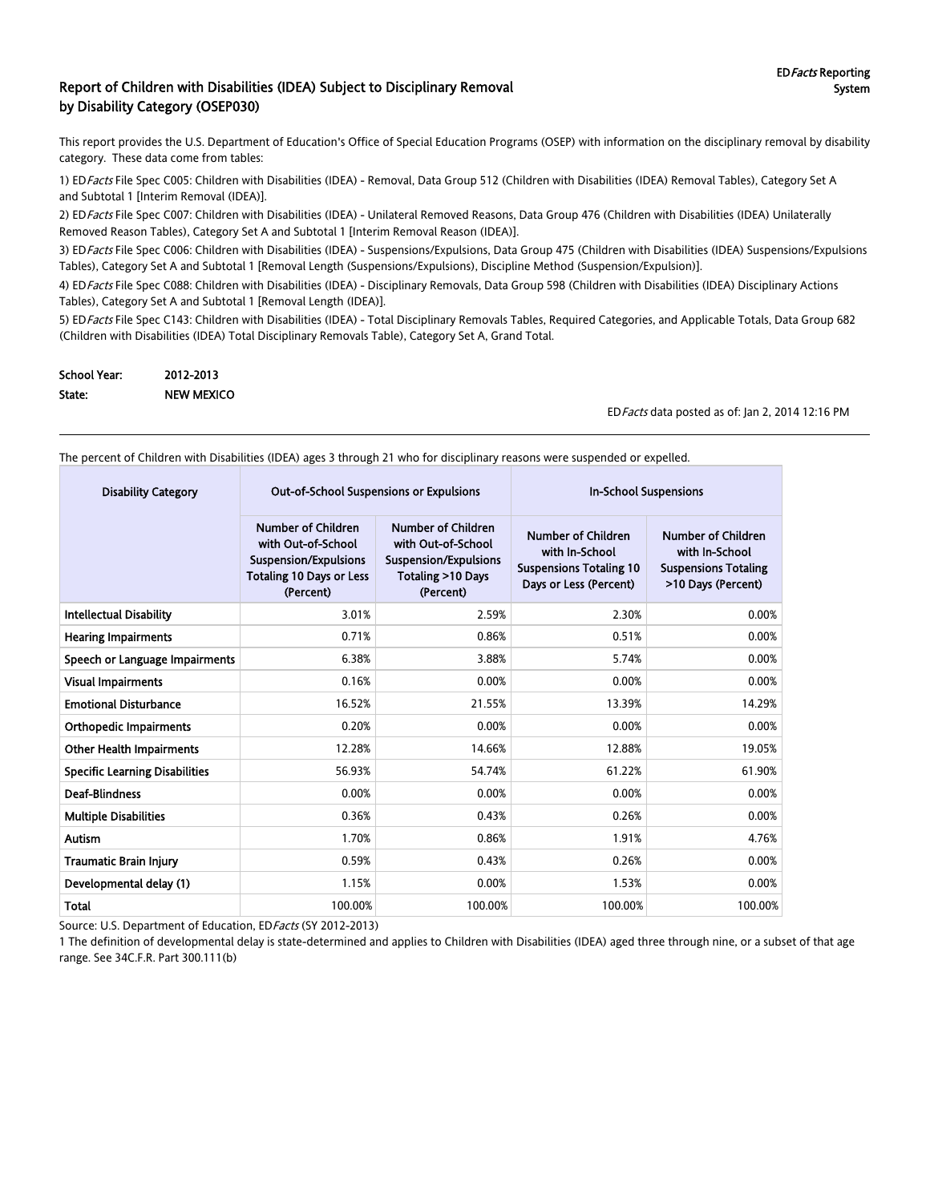#### Report of Children with Disabilities (IDEA) Subject to Disciplinary Removal by Disability Category (OSEP030)

This report provides the U.S. Department of Education's Office of Special Education Programs (OSEP) with information on the disciplinary removal by disability category. These data come from tables:

1) EDFacts File Spec C005: Children with Disabilities (IDEA) - Removal, Data Group 512 (Children with Disabilities (IDEA) Removal Tables), Category Set A and Subtotal 1 [Interim Removal (IDEA)].

2) ED Facts File Spec C007: Children with Disabilities (IDEA) - Unilateral Removed Reasons, Data Group 476 (Children with Disabilities (IDEA) Unilaterally Removed Reason Tables), Category Set A and Subtotal 1 [Interim Removal Reason (IDEA)].

3) ED Facts File Spec C006: Children with Disabilities (IDEA) - Suspensions/Expulsions, Data Group 475 (Children with Disabilities (IDEA) Suspensions/Expulsions Tables), Category Set A and Subtotal 1 [Removal Length (Suspensions/Expulsions), Discipline Method (Suspension/Expulsion)].

4) ED Facts File Spec C088: Children with Disabilities (IDEA) - Disciplinary Removals, Data Group 598 (Children with Disabilities (IDEA) Disciplinary Actions Tables), Category Set A and Subtotal 1 [Removal Length (IDEA)].

5) ED Facts File Spec C143: Children with Disabilities (IDEA) - Total Disciplinary Removals Tables, Required Categories, and Applicable Totals, Data Group 682 (Children with Disabilities (IDEA) Total Disciplinary Removals Table), Category Set A, Grand Total.

| <b>School Year:</b> | 2012-2013         |
|---------------------|-------------------|
| State:              | <b>NEW MEXICO</b> |

EDFacts data posted as of: Jan 2, 2014 12:16 PM

The percent of Children with Disabilities (IDEA) ages 3 through 21 who for disciplinary reasons were suspended or expelled.

| <b>Disability Category</b>            | <b>Out-of-School Suspensions or Expulsions</b>                                                                           |                                                                                                            | <b>In-School Suspensions</b>                                                                            |                                                                                                  |  |
|---------------------------------------|--------------------------------------------------------------------------------------------------------------------------|------------------------------------------------------------------------------------------------------------|---------------------------------------------------------------------------------------------------------|--------------------------------------------------------------------------------------------------|--|
|                                       | Number of Children<br>with Out-of-School<br><b>Suspension/Expulsions</b><br><b>Totaling 10 Days or Less</b><br>(Percent) | Number of Children<br>with Out-of-School<br><b>Suspension/Expulsions</b><br>Totaling >10 Days<br>(Percent) | <b>Number of Children</b><br>with In-School<br><b>Suspensions Totaling 10</b><br>Days or Less (Percent) | <b>Number of Children</b><br>with In-School<br><b>Suspensions Totaling</b><br>>10 Days (Percent) |  |
| <b>Intellectual Disability</b>        | 3.01%                                                                                                                    | 2.59%                                                                                                      | 2.30%                                                                                                   | 0.00%                                                                                            |  |
| <b>Hearing Impairments</b>            | 0.71%                                                                                                                    | 0.86%                                                                                                      | 0.51%                                                                                                   | 0.00%                                                                                            |  |
| Speech or Language Impairments        | 6.38%                                                                                                                    | 3.88%                                                                                                      | 5.74%                                                                                                   | 0.00%                                                                                            |  |
| <b>Visual Impairments</b>             | 0.16%                                                                                                                    | 0.00%                                                                                                      | 0.00%                                                                                                   | 0.00%                                                                                            |  |
| <b>Emotional Disturbance</b>          | 16.52%                                                                                                                   | 21.55%                                                                                                     | 13.39%                                                                                                  | 14.29%                                                                                           |  |
| <b>Orthopedic Impairments</b>         | 0.20%                                                                                                                    | 0.00%                                                                                                      | 0.00%                                                                                                   | 0.00%                                                                                            |  |
| <b>Other Health Impairments</b>       | 12.28%                                                                                                                   | 14.66%                                                                                                     | 12.88%                                                                                                  | 19.05%                                                                                           |  |
| <b>Specific Learning Disabilities</b> | 56.93%                                                                                                                   | 54.74%                                                                                                     | 61.22%                                                                                                  | 61.90%                                                                                           |  |
| <b>Deaf-Blindness</b>                 | 0.00%                                                                                                                    | 0.00%                                                                                                      | 0.00%                                                                                                   | 0.00%                                                                                            |  |
| <b>Multiple Disabilities</b>          | 0.36%                                                                                                                    | 0.43%                                                                                                      | 0.26%                                                                                                   | 0.00%                                                                                            |  |
| <b>Autism</b>                         | 1.70%                                                                                                                    | 0.86%                                                                                                      | 1.91%                                                                                                   | 4.76%                                                                                            |  |
| <b>Traumatic Brain Injury</b>         | 0.59%                                                                                                                    | 0.43%                                                                                                      | 0.26%                                                                                                   | 0.00%                                                                                            |  |
| Developmental delay (1)               | 1.15%                                                                                                                    | 0.00%                                                                                                      | 1.53%                                                                                                   | 0.00%                                                                                            |  |
| Total                                 | 100.00%                                                                                                                  | 100.00%                                                                                                    | 100.00%                                                                                                 | 100.00%                                                                                          |  |

Source: U.S. Department of Education, ED Facts (SY 2012-2013)

1 The definition of developmental delay is state-determined and applies to Children with Disabilities (IDEA) aged three through nine, or a subset of that age range. See 34C.F.R. Part 300.111(b)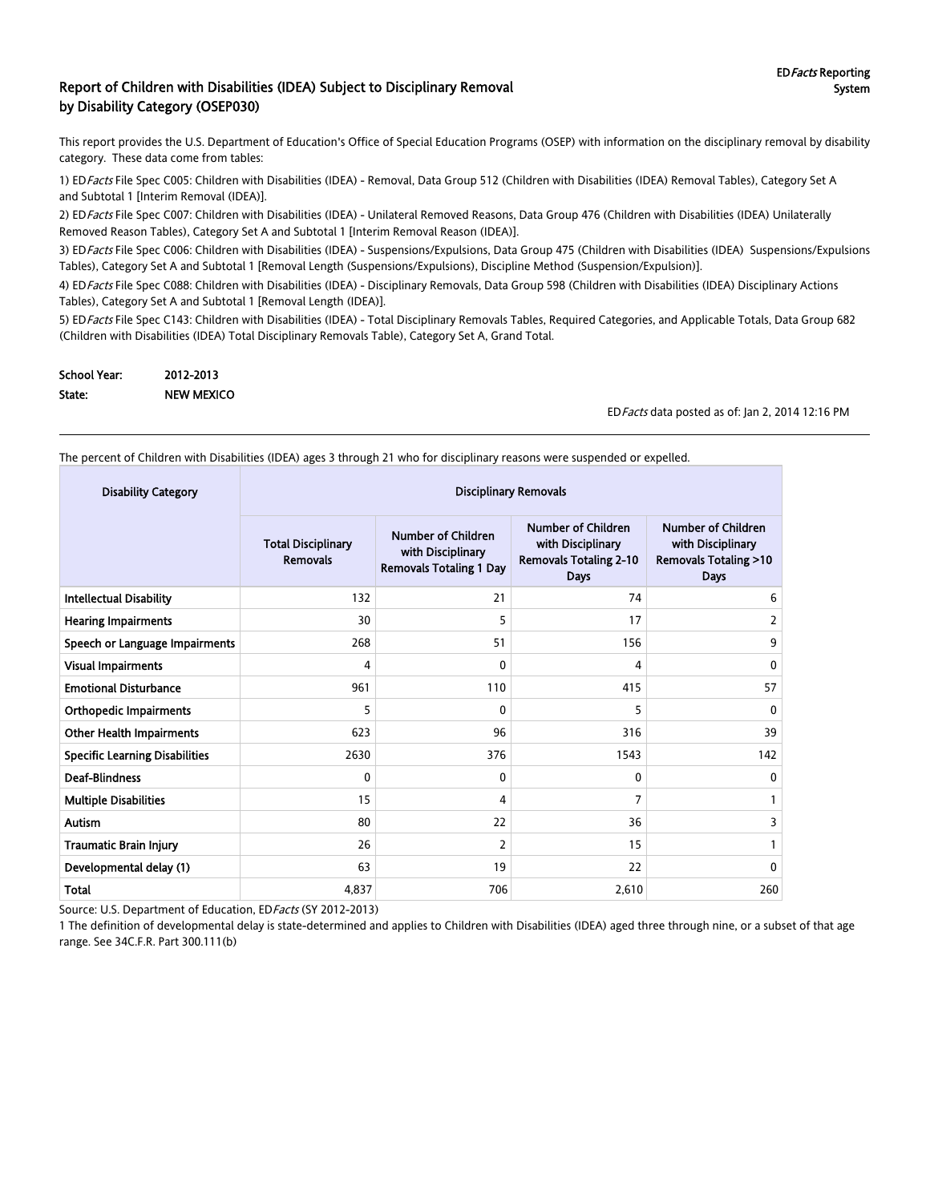#### Report of Children with Disabilities (IDEA) Subject to Disciplinary Removal by Disability Category (OSEP030)

This report provides the U.S. Department of Education's Office of Special Education Programs (OSEP) with information on the disciplinary removal by disability category. These data come from tables:

1) EDFacts File Spec C005: Children with Disabilities (IDEA) - Removal, Data Group 512 (Children with Disabilities (IDEA) Removal Tables), Category Set A and Subtotal 1 [Interim Removal (IDEA)].

2) ED Facts File Spec C007: Children with Disabilities (IDEA) - Unilateral Removed Reasons, Data Group 476 (Children with Disabilities (IDEA) Unilaterally Removed Reason Tables), Category Set A and Subtotal 1 [Interim Removal Reason (IDEA)].

3) ED Facts File Spec C006: Children with Disabilities (IDEA) - Suspensions/Expulsions, Data Group 475 (Children with Disabilities (IDEA) Suspensions/Expulsions Tables), Category Set A and Subtotal 1 [Removal Length (Suspensions/Expulsions), Discipline Method (Suspension/Expulsion)].

4) ED Facts File Spec C088: Children with Disabilities (IDEA) - Disciplinary Removals, Data Group 598 (Children with Disabilities (IDEA) Disciplinary Actions Tables), Category Set A and Subtotal 1 [Removal Length (IDEA)].

5) ED Facts File Spec C143: Children with Disabilities (IDEA) - Total Disciplinary Removals Tables, Required Categories, and Applicable Totals, Data Group 682 (Children with Disabilities (IDEA) Total Disciplinary Removals Table), Category Set A, Grand Total.

| School Year: | 2012-2013         |
|--------------|-------------------|
| State:       | <b>NEW MEXICO</b> |

EDFacts data posted as of: Jan 2, 2014 12:16 PM

The percent of Children with Disabilities (IDEA) ages 3 through 21 who for disciplinary reasons were suspended or expelled.

| <b>Disability Category</b>            |                                              |                                                                                  |                                                                                         |                                                                                           |
|---------------------------------------|----------------------------------------------|----------------------------------------------------------------------------------|-----------------------------------------------------------------------------------------|-------------------------------------------------------------------------------------------|
|                                       | <b>Total Disciplinary</b><br><b>Removals</b> | <b>Number of Children</b><br>with Disciplinary<br><b>Removals Totaling 1 Day</b> | Number of Children<br>with Disciplinary<br><b>Removals Totaling 2-10</b><br><b>Days</b> | Number of Children<br>with Disciplinary<br><b>Removals Totaling &gt;10</b><br><b>Days</b> |
| <b>Intellectual Disability</b>        | 132                                          | 21                                                                               | 74                                                                                      | 6                                                                                         |
| <b>Hearing Impairments</b>            | 30                                           | 5                                                                                | 17                                                                                      | 2                                                                                         |
| Speech or Language Impairments        | 268                                          | 51                                                                               | 156                                                                                     | 9                                                                                         |
| <b>Visual Impairments</b>             | 4                                            | 0                                                                                | 4                                                                                       | 0                                                                                         |
| <b>Emotional Disturbance</b>          | 961                                          | 110                                                                              | 415                                                                                     | 57                                                                                        |
| <b>Orthopedic Impairments</b>         | 5                                            | $\Omega$                                                                         | 5                                                                                       | 0                                                                                         |
| <b>Other Health Impairments</b>       | 623                                          | 96                                                                               | 316                                                                                     | 39                                                                                        |
| <b>Specific Learning Disabilities</b> | 2630                                         | 376                                                                              | 1543                                                                                    | 142                                                                                       |
| <b>Deaf-Blindness</b>                 | 0                                            | $\mathbf{0}$                                                                     | $\Omega$                                                                                | 0                                                                                         |
| <b>Multiple Disabilities</b>          | 15                                           | 4                                                                                | 7                                                                                       |                                                                                           |
| <b>Autism</b>                         | 80                                           | 22                                                                               | 36                                                                                      | 3                                                                                         |
| <b>Traumatic Brain Injury</b>         | 26                                           | 2                                                                                | 15                                                                                      |                                                                                           |
| Developmental delay (1)               | 63                                           | 19                                                                               | 22                                                                                      | 0                                                                                         |
| Total                                 | 4,837                                        | 706                                                                              | 2,610                                                                                   | 260                                                                                       |

Source: U.S. Department of Education, ED Facts (SY 2012-2013)

1 The definition of developmental delay is state-determined and applies to Children with Disabilities (IDEA) aged three through nine, or a subset of that age range. See 34C.F.R. Part 300.111(b)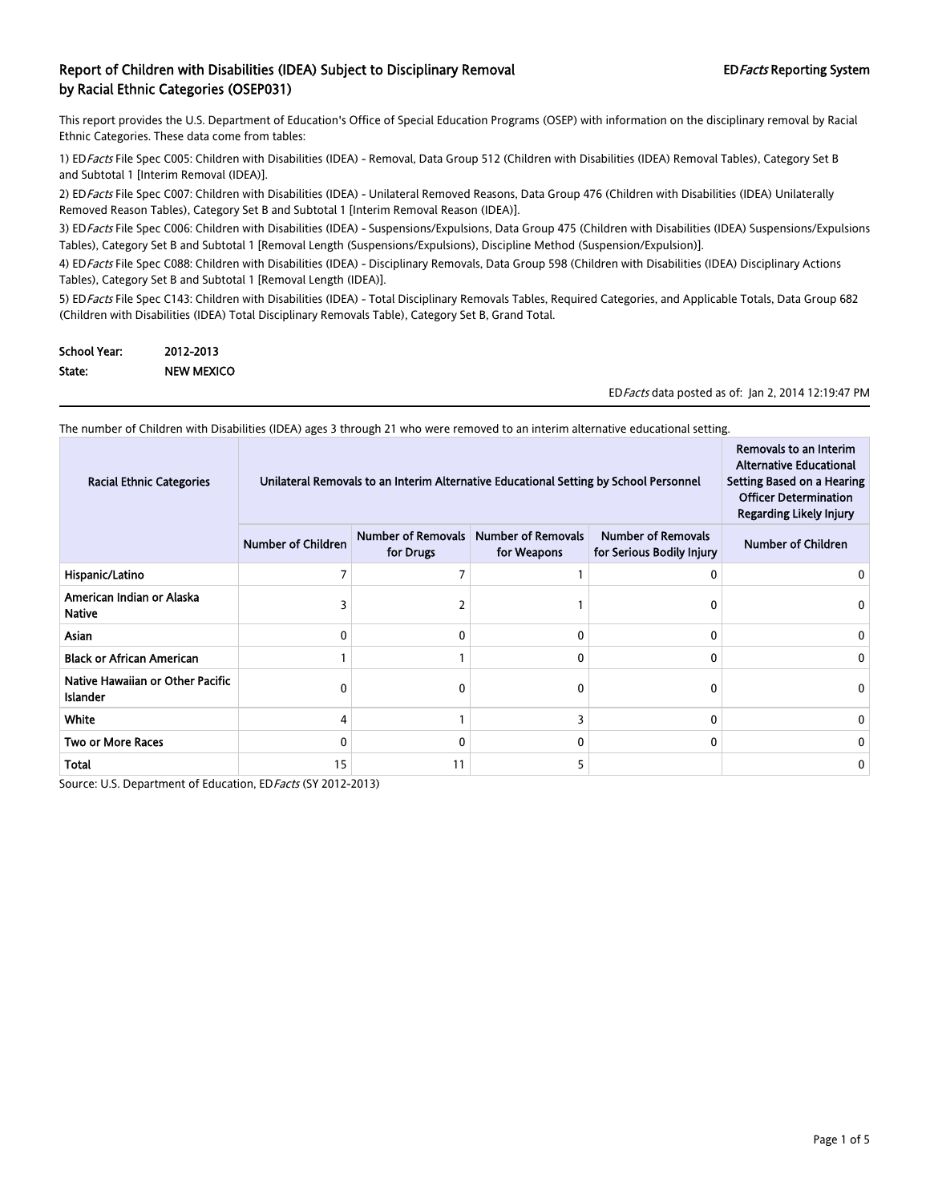This report provides the U.S. Department of Education's Office of Special Education Programs (OSEP) with information on the disciplinary removal by Racial Ethnic Categories. These data come from tables:

1) EDFacts File Spec C005: Children with Disabilities (IDEA) - Removal, Data Group 512 (Children with Disabilities (IDEA) Removal Tables), Category Set B and Subtotal 1 [Interim Removal (IDEA)].

2) ED Facts File Spec C007: Children with Disabilities (IDEA) - Unilateral Removed Reasons, Data Group 476 (Children with Disabilities (IDEA) Unilaterally Removed Reason Tables), Category Set B and Subtotal 1 [Interim Removal Reason (IDEA)].

3) ED Facts File Spec C006: Children with Disabilities (IDEA) - Suspensions/Expulsions, Data Group 475 (Children with Disabilities (IDEA) Suspensions/Expulsions Tables), Category Set B and Subtotal 1 [Removal Length (Suspensions/Expulsions), Discipline Method (Suspension/Expulsion)].

4) ED Facts File Spec C088: Children with Disabilities (IDEA) - Disciplinary Removals, Data Group 598 (Children with Disabilities (IDEA) Disciplinary Actions Tables), Category Set B and Subtotal 1 [Removal Length (IDEA)].

5) ED Facts File Spec C143: Children with Disabilities (IDEA) - Total Disciplinary Removals Tables, Required Categories, and Applicable Totals, Data Group 682 (Children with Disabilities (IDEA) Total Disciplinary Removals Table), Category Set B, Grand Total.

| <b>School Year:</b> | 2012-2013         |
|---------------------|-------------------|
| State:              | <b>NEW MEXICO</b> |

ED Facts data posted as of: Jan 2, 2014 12:19:47 PM

| <b>Racial Ethnic Categories</b>              | Unilateral Removals to an Interim Alternative Educational Setting by School Personnel |                                        |                                          |                                                        | Removals to an Interim<br><b>Alternative Educational</b><br>Setting Based on a Hearing<br><b>Officer Determination</b><br>Regarding Likely Injury |
|----------------------------------------------|---------------------------------------------------------------------------------------|----------------------------------------|------------------------------------------|--------------------------------------------------------|---------------------------------------------------------------------------------------------------------------------------------------------------|
|                                              | <b>Number of Children</b>                                                             | <b>Number of Removals</b><br>for Drugs | <b>Number of Removals</b><br>for Weapons | <b>Number of Removals</b><br>for Serious Bodily Injury | <b>Number of Children</b>                                                                                                                         |
| Hispanic/Latino                              | 7                                                                                     |                                        |                                          | $\Omega$                                               |                                                                                                                                                   |
| American Indian or Alaska<br><b>Native</b>   |                                                                                       |                                        |                                          | 0                                                      |                                                                                                                                                   |
| Asian                                        | 0                                                                                     | 0                                      | 0                                        | 0                                                      | 0                                                                                                                                                 |
| <b>Black or African American</b>             |                                                                                       |                                        | 0                                        | 0                                                      | 0                                                                                                                                                 |
| Native Hawaiian or Other Pacific<br>Islander | 0                                                                                     | 0                                      | 0                                        | 0                                                      | 0                                                                                                                                                 |
| White                                        | 4                                                                                     |                                        | 3                                        | $\mathbf{0}$                                           | 0                                                                                                                                                 |
| <b>Two or More Races</b>                     | 0                                                                                     | 0                                      | 0                                        | 0                                                      | 0                                                                                                                                                 |
| Total                                        | 15                                                                                    | 11                                     | 5                                        |                                                        | 0                                                                                                                                                 |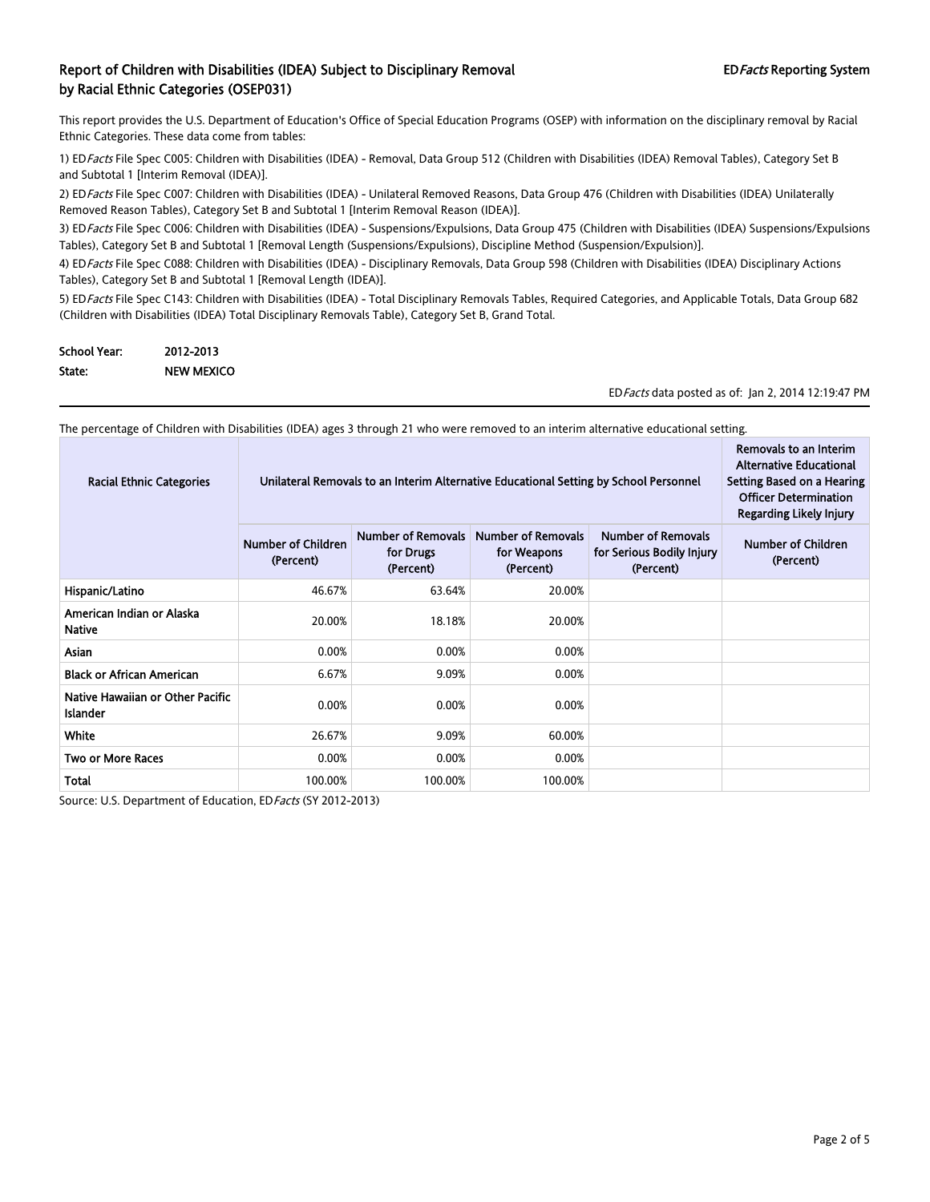This report provides the U.S. Department of Education's Office of Special Education Programs (OSEP) with information on the disciplinary removal by Racial Ethnic Categories. These data come from tables:

1) EDFacts File Spec C005: Children with Disabilities (IDEA) - Removal, Data Group 512 (Children with Disabilities (IDEA) Removal Tables), Category Set B and Subtotal 1 [Interim Removal (IDEA)].

2) ED Facts File Spec C007: Children with Disabilities (IDEA) - Unilateral Removed Reasons, Data Group 476 (Children with Disabilities (IDEA) Unilaterally Removed Reason Tables), Category Set B and Subtotal 1 [Interim Removal Reason (IDEA)].

3) ED Facts File Spec C006: Children with Disabilities (IDEA) - Suspensions/Expulsions, Data Group 475 (Children with Disabilities (IDEA) Suspensions/Expulsions Tables), Category Set B and Subtotal 1 [Removal Length (Suspensions/Expulsions), Discipline Method (Suspension/Expulsion)].

4) ED Facts File Spec C088: Children with Disabilities (IDEA) - Disciplinary Removals, Data Group 598 (Children with Disabilities (IDEA) Disciplinary Actions Tables), Category Set B and Subtotal 1 [Removal Length (IDEA)].

5) ED Facts File Spec C143: Children with Disabilities (IDEA) - Total Disciplinary Removals Tables, Required Categories, and Applicable Totals, Data Group 682 (Children with Disabilities (IDEA) Total Disciplinary Removals Table), Category Set B, Grand Total.

| <b>School Year:</b> | 2012-2013         |
|---------------------|-------------------|
| State:              | <b>NEW MEXICO</b> |

EDFacts data posted as of: Jan 2, 2014 12:19:47 PM

The percentage of Children with Disabilities (IDEA) ages 3 through 21 who were removed to an interim alternative educational setting.

| <b>Racial Ethnic Categories</b>                     | Unilateral Removals to an Interim Alternative Educational Setting by School Personnel | Removals to an Interim<br><b>Alternative Educational</b><br>Setting Based on a Hearing<br><b>Officer Determination</b><br><b>Regarding Likely Injury</b> |         |  |  |
|-----------------------------------------------------|---------------------------------------------------------------------------------------|----------------------------------------------------------------------------------------------------------------------------------------------------------|---------|--|--|
|                                                     | <b>Number of Children</b><br>(Percent)                                                | <b>Number of Children</b><br>(Percent)                                                                                                                   |         |  |  |
| Hispanic/Latino                                     | 46.67%                                                                                | 63.64%                                                                                                                                                   | 20.00%  |  |  |
| American Indian or Alaska<br><b>Native</b>          | 20.00%                                                                                | 18.18%                                                                                                                                                   | 20.00%  |  |  |
| Asian                                               | 0.00%                                                                                 | 0.00%                                                                                                                                                    | 0.00%   |  |  |
| <b>Black or African American</b>                    | 6.67%                                                                                 | 9.09%                                                                                                                                                    | 0.00%   |  |  |
| Native Hawaiian or Other Pacific<br><b>Islander</b> | 0.00%                                                                                 | 0.00%                                                                                                                                                    | 0.00%   |  |  |
| White                                               | 26.67%                                                                                | 9.09%                                                                                                                                                    | 60.00%  |  |  |
| <b>Two or More Races</b>                            | 0.00%                                                                                 | 0.00%                                                                                                                                                    | 0.00%   |  |  |
| Total                                               | 100.00%                                                                               | 100.00%                                                                                                                                                  | 100.00% |  |  |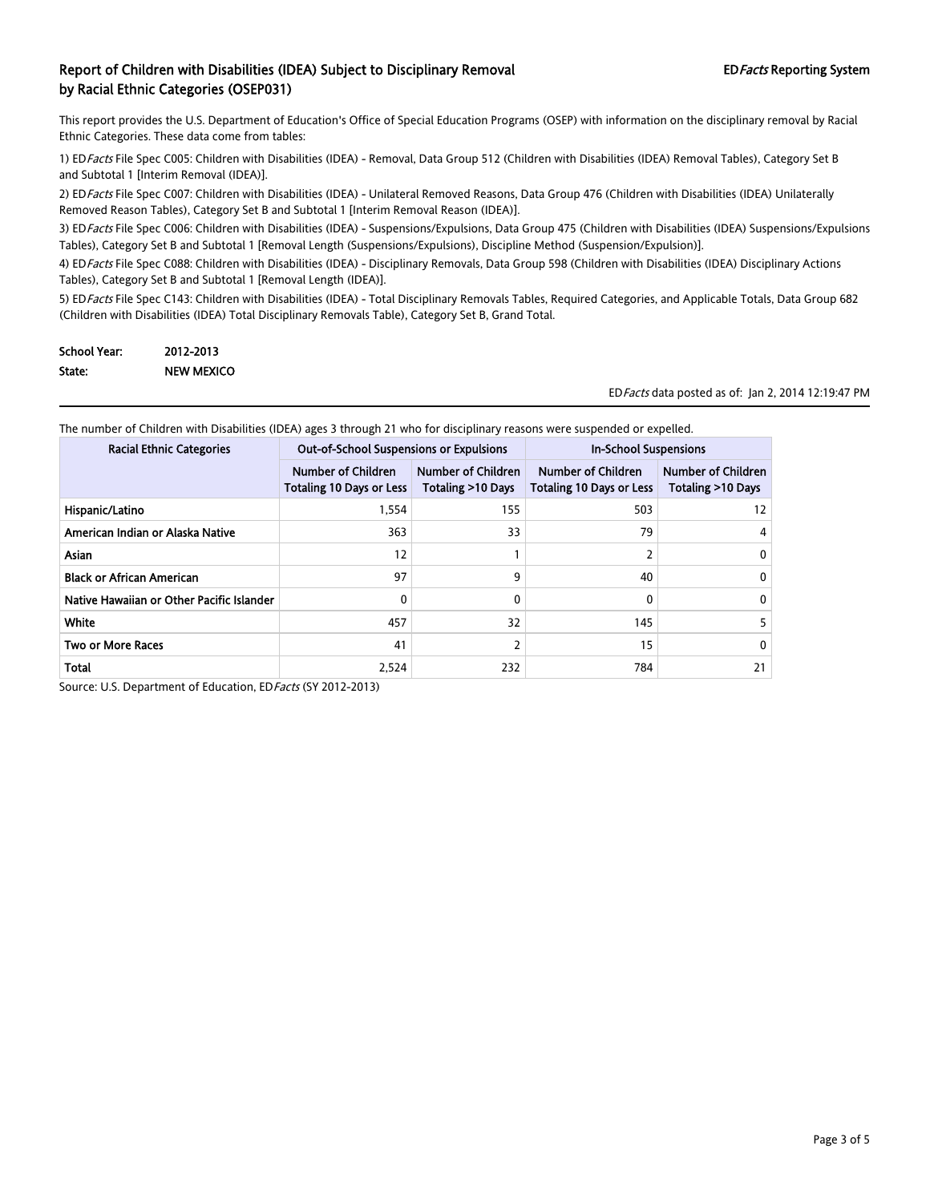This report provides the U.S. Department of Education's Office of Special Education Programs (OSEP) with information on the disciplinary removal by Racial Ethnic Categories. These data come from tables:

1) EDFacts File Spec C005: Children with Disabilities (IDEA) - Removal, Data Group 512 (Children with Disabilities (IDEA) Removal Tables), Category Set B and Subtotal 1 [Interim Removal (IDEA)].

2) ED Facts File Spec C007: Children with Disabilities (IDEA) - Unilateral Removed Reasons, Data Group 476 (Children with Disabilities (IDEA) Unilaterally Removed Reason Tables), Category Set B and Subtotal 1 [Interim Removal Reason (IDEA)].

3) ED Facts File Spec C006: Children with Disabilities (IDEA) - Suspensions/Expulsions, Data Group 475 (Children with Disabilities (IDEA) Suspensions/Expulsions Tables), Category Set B and Subtotal 1 [Removal Length (Suspensions/Expulsions), Discipline Method (Suspension/Expulsion)].

4) ED Facts File Spec C088: Children with Disabilities (IDEA) - Disciplinary Removals, Data Group 598 (Children with Disabilities (IDEA) Disciplinary Actions Tables), Category Set B and Subtotal 1 [Removal Length (IDEA)].

5) ED Facts File Spec C143: Children with Disabilities (IDEA) - Total Disciplinary Removals Tables, Required Categories, and Applicable Totals, Data Group 682 (Children with Disabilities (IDEA) Total Disciplinary Removals Table), Category Set B, Grand Total.

| <b>School Year:</b> | 2012-2013         |
|---------------------|-------------------|
| State:              | <b>NEW MEXICO</b> |

EDFacts data posted as of: Jan 2, 2014 12:19:47 PM

The number of Children with Disabilities (IDEA) ages 3 through 21 who for disciplinary reasons were suspended or expelled.

| <b>Racial Ethnic Categories</b>           | <b>Out-of-School Suspensions or Expulsions</b>               |                                                | <b>In-School Suspensions</b>                                 |                                         |
|-------------------------------------------|--------------------------------------------------------------|------------------------------------------------|--------------------------------------------------------------|-----------------------------------------|
|                                           | <b>Number of Children</b><br><b>Totaling 10 Days or Less</b> | <b>Number of Children</b><br>Totaling >10 Days | <b>Number of Children</b><br><b>Totaling 10 Days or Less</b> | Number of Children<br>Totaling >10 Days |
| Hispanic/Latino                           | 1,554                                                        | 155                                            | 503                                                          | 12                                      |
| American Indian or Alaska Native          | 363                                                          | 33                                             | 79                                                           | 4                                       |
| <b>Asian</b>                              | 12                                                           |                                                |                                                              | 0                                       |
| <b>Black or African American</b>          | 97                                                           | 9                                              | 40                                                           | $\mathbf{0}$                            |
| Native Hawaiian or Other Pacific Islander | 0                                                            | 0                                              |                                                              | 0                                       |
| White                                     | 457                                                          | 32                                             | 145                                                          |                                         |
| <b>Two or More Races</b>                  | 41                                                           |                                                | 15                                                           | 0                                       |
| <b>Total</b>                              | 2.524                                                        | 232                                            | 784                                                          | 21                                      |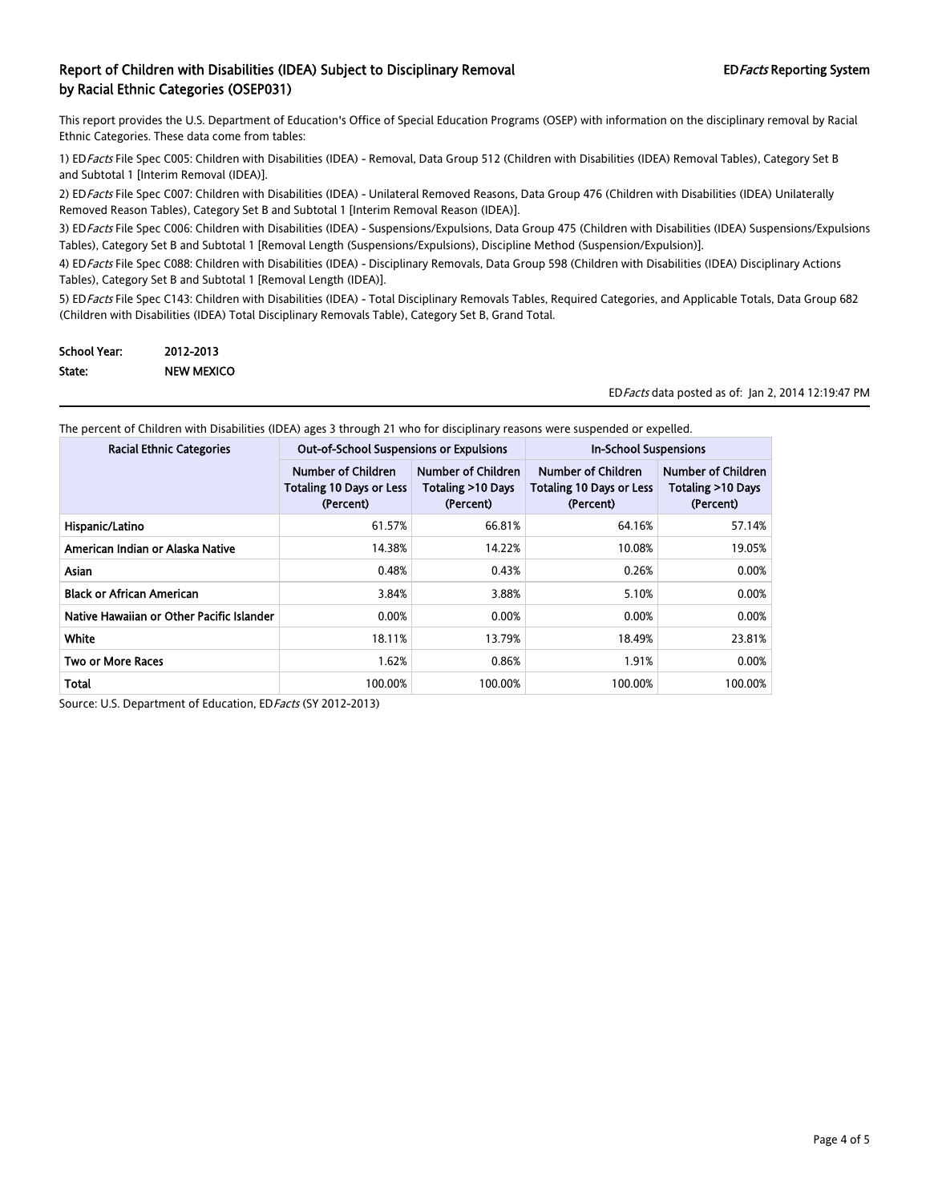This report provides the U.S. Department of Education's Office of Special Education Programs (OSEP) with information on the disciplinary removal by Racial Ethnic Categories. These data come from tables:

1) EDFacts File Spec C005: Children with Disabilities (IDEA) - Removal, Data Group 512 (Children with Disabilities (IDEA) Removal Tables), Category Set B and Subtotal 1 [Interim Removal (IDEA)].

2) ED Facts File Spec C007: Children with Disabilities (IDEA) - Unilateral Removed Reasons, Data Group 476 (Children with Disabilities (IDEA) Unilaterally Removed Reason Tables), Category Set B and Subtotal 1 [Interim Removal Reason (IDEA)].

3) ED Facts File Spec C006: Children with Disabilities (IDEA) - Suspensions/Expulsions, Data Group 475 (Children with Disabilities (IDEA) Suspensions/Expulsions Tables), Category Set B and Subtotal 1 [Removal Length (Suspensions/Expulsions), Discipline Method (Suspension/Expulsion)].

4) ED Facts File Spec C088: Children with Disabilities (IDEA) - Disciplinary Removals, Data Group 598 (Children with Disabilities (IDEA) Disciplinary Actions Tables), Category Set B and Subtotal 1 [Removal Length (IDEA)].

5) ED Facts File Spec C143: Children with Disabilities (IDEA) - Total Disciplinary Removals Tables, Required Categories, and Applicable Totals, Data Group 682 (Children with Disabilities (IDEA) Total Disciplinary Removals Table), Category Set B, Grand Total.

| <b>School Year:</b> | 2012-2013         |
|---------------------|-------------------|
| State:              | <b>NEW MEXICO</b> |

EDFacts data posted as of: Jan 2, 2014 12:19:47 PM

| <b>Racial Ethnic Categories</b>           | <b>Out-of-School Suspensions or Expulsions</b>                            |                                                      | <b>In-School Suspensions</b>                                       |                                                      |  |
|-------------------------------------------|---------------------------------------------------------------------------|------------------------------------------------------|--------------------------------------------------------------------|------------------------------------------------------|--|
|                                           | <b>Number of Children</b><br><b>Totaling 10 Days or Less</b><br>(Percent) | Number of Children<br>Totaling >10 Days<br>(Percent) | Number of Children<br><b>Totaling 10 Days or Less</b><br>(Percent) | Number of Children<br>Totaling >10 Days<br>(Percent) |  |
| Hispanic/Latino                           | 61.57%                                                                    | 66.81%                                               | 64.16%                                                             | 57.14%                                               |  |
| American Indian or Alaska Native          | 14.38%                                                                    | 14.22%                                               | 10.08%                                                             | 19.05%                                               |  |
| Asian                                     | 0.48%                                                                     | 0.43%                                                | 0.26%                                                              | 0.00%                                                |  |
| <b>Black or African American</b>          | 3.84%                                                                     | 3.88%                                                | 5.10%                                                              | 0.00%                                                |  |
| Native Hawaiian or Other Pacific Islander | 0.00%                                                                     | 0.00%                                                | 0.00%                                                              | 0.00%                                                |  |
| White                                     | 18.11%                                                                    | 13.79%                                               | 18.49%                                                             | 23.81%                                               |  |
| <b>Two or More Races</b>                  | 1.62%                                                                     | 0.86%                                                | 1.91%                                                              | 0.00%                                                |  |
| Total                                     | 100.00%                                                                   | 100.00%                                              | 100.00%                                                            | 100.00%                                              |  |

The percent of Children with Disabilities (IDEA) ages 3 through 21 who for disciplinary reasons were suspended or expelled.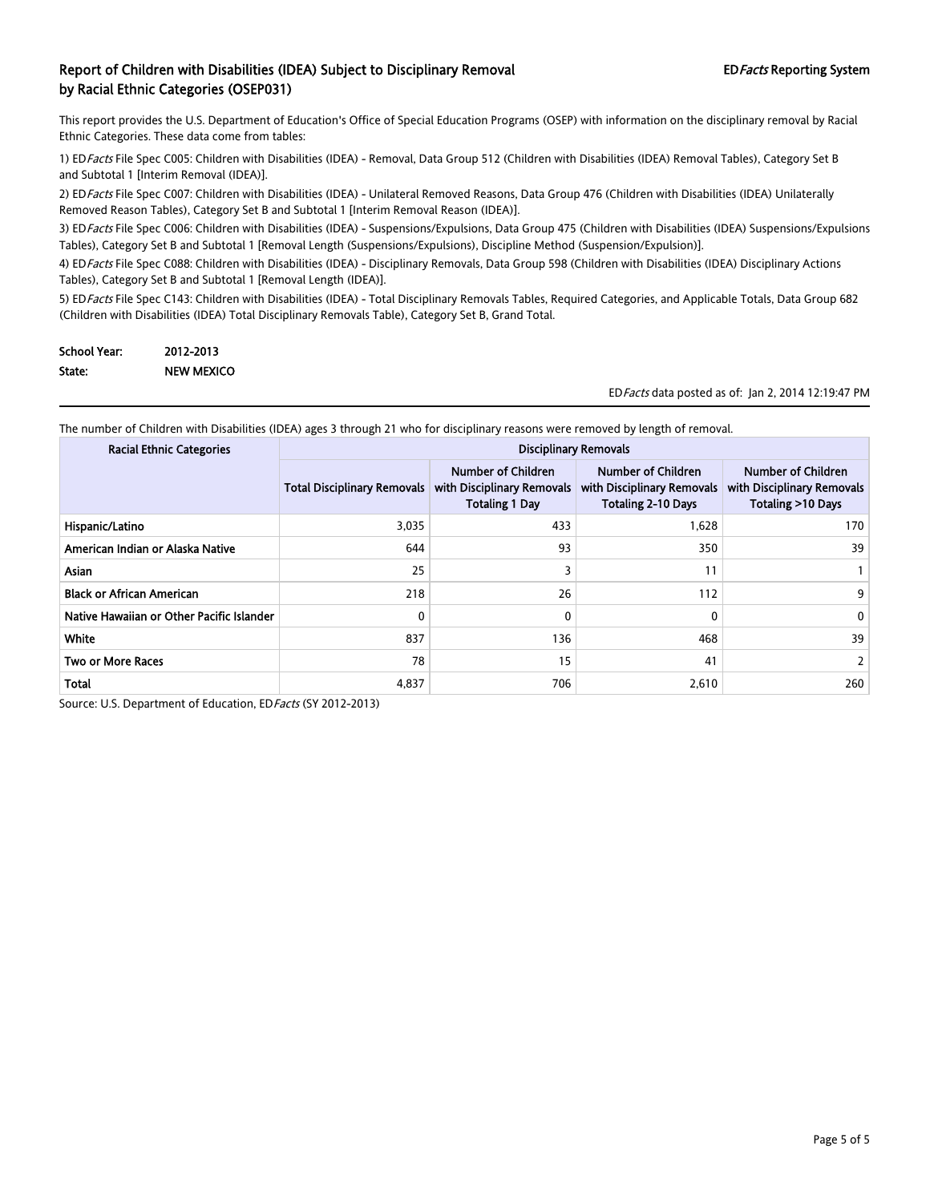This report provides the U.S. Department of Education's Office of Special Education Programs (OSEP) with information on the disciplinary removal by Racial Ethnic Categories. These data come from tables:

1) EDFacts File Spec C005: Children with Disabilities (IDEA) - Removal, Data Group 512 (Children with Disabilities (IDEA) Removal Tables), Category Set B and Subtotal 1 [Interim Removal (IDEA)].

2) ED Facts File Spec C007: Children with Disabilities (IDEA) - Unilateral Removed Reasons, Data Group 476 (Children with Disabilities (IDEA) Unilaterally Removed Reason Tables), Category Set B and Subtotal 1 [Interim Removal Reason (IDEA)].

3) ED Facts File Spec C006: Children with Disabilities (IDEA) - Suspensions/Expulsions, Data Group 475 (Children with Disabilities (IDEA) Suspensions/Expulsions Tables), Category Set B and Subtotal 1 [Removal Length (Suspensions/Expulsions), Discipline Method (Suspension/Expulsion)].

4) ED Facts File Spec C088: Children with Disabilities (IDEA) - Disciplinary Removals, Data Group 598 (Children with Disabilities (IDEA) Disciplinary Actions Tables), Category Set B and Subtotal 1 [Removal Length (IDEA)].

5) ED Facts File Spec C143: Children with Disabilities (IDEA) - Total Disciplinary Removals Tables, Required Categories, and Applicable Totals, Data Group 682 (Children with Disabilities (IDEA) Total Disciplinary Removals Table), Category Set B, Grand Total.

| <b>School Year:</b> | 2012-2013         |
|---------------------|-------------------|
| State:              | <b>NEW MEXICO</b> |

EDFacts data posted as of: Jan 2, 2014 12:19:47 PM

The number of Children with Disabilities (IDEA) ages 3 through 21 who for disciplinary reasons were removed by length of removal.

| <b>Racial Ethnic Categories</b>           | <b>Disciplinary Removals</b>       |                                                                           |                                                                                      |                                                                       |
|-------------------------------------------|------------------------------------|---------------------------------------------------------------------------|--------------------------------------------------------------------------------------|-----------------------------------------------------------------------|
|                                           | <b>Total Disciplinary Removals</b> | Number of Children<br>with Disciplinary Removals<br><b>Totaling 1 Day</b> | <b>Number of Children</b><br>with Disciplinary Removals<br><b>Totaling 2-10 Days</b> | Number of Children<br>with Disciplinary Removals<br>Totaling >10 Days |
| Hispanic/Latino                           | 3,035                              | 433                                                                       | 1,628                                                                                | 170                                                                   |
| American Indian or Alaska Native          | 644                                | 93                                                                        | 350                                                                                  | 39                                                                    |
| <b>Asian</b>                              | 25                                 |                                                                           | 11                                                                                   |                                                                       |
| <b>Black or African American</b>          | 218                                | 26                                                                        | 112                                                                                  | 9.                                                                    |
| Native Hawaiian or Other Pacific Islander | 0                                  | 0                                                                         | 0                                                                                    | 0                                                                     |
| White                                     | 837                                | 136                                                                       | 468                                                                                  | 39                                                                    |
| <b>Two or More Races</b>                  | 78                                 | 15                                                                        | 41                                                                                   |                                                                       |
| Total                                     | 4,837                              | 706                                                                       | 2,610                                                                                | 260                                                                   |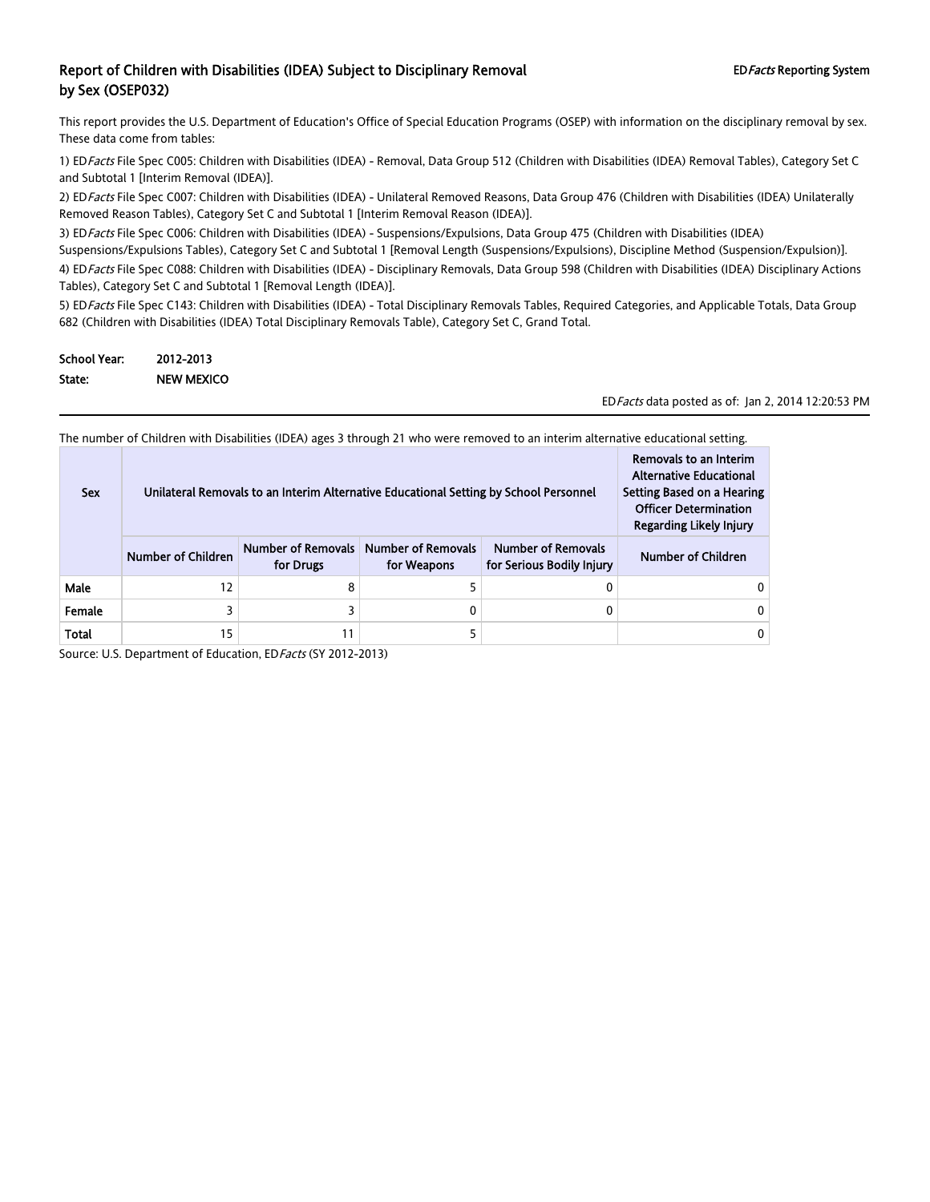This report provides the U.S. Department of Education's Office of Special Education Programs (OSEP) with information on the disciplinary removal by sex. These data come from tables:

1) ED Facts File Spec C005: Children with Disabilities (IDEA) - Removal, Data Group 512 (Children with Disabilities (IDEA) Removal Tables), Category Set C and Subtotal 1 [Interim Removal (IDEA)].

2) ED Facts File Spec C007: Children with Disabilities (IDEA) - Unilateral Removed Reasons, Data Group 476 (Children with Disabilities (IDEA) Unilaterally Removed Reason Tables), Category Set C and Subtotal 1 [Interim Removal Reason (IDEA)].

3) ED Facts File Spec C006: Children with Disabilities (IDEA) - Suspensions/Expulsions, Data Group 475 (Children with Disabilities (IDEA) Suspensions/Expulsions Tables), Category Set C and Subtotal 1 [Removal Length (Suspensions/Expulsions), Discipline Method (Suspension/Expulsion)]. 4) ED Facts File Spec C088: Children with Disabilities (IDEA) - Disciplinary Removals, Data Group 598 (Children with Disabilities (IDEA) Disciplinary Actions Tables), Category Set C and Subtotal 1 [Removal Length (IDEA)].

5) ED Facts File Spec C143: Children with Disabilities (IDEA) - Total Disciplinary Removals Tables, Required Categories, and Applicable Totals, Data Group 682 (Children with Disabilities (IDEA) Total Disciplinary Removals Table), Category Set C, Grand Total.

| <b>School Year:</b> | 2012-2013         |
|---------------------|-------------------|
| State:              | <b>NEW MEXICO</b> |

EDFacts data posted as of: Jan 2, 2014 12:20:53 PM

The number of Children with Disabilities (IDEA) ages 3 through 21 who were removed to an interim alternative educational setting.

| <b>Sex</b> | Unilateral Removals to an Interim Alternative Educational Setting by School Personnel | Removals to an Interim<br><b>Alternative Educational</b><br>Setting Based on a Hearing<br><b>Officer Determination</b><br><b>Regarding Likely Injury</b> |  |  |
|------------|---------------------------------------------------------------------------------------|----------------------------------------------------------------------------------------------------------------------------------------------------------|--|--|
|            | <b>Number of Children</b>                                                             | <b>Number of Children</b>                                                                                                                                |  |  |
| Male       | 12                                                                                    | 8                                                                                                                                                        |  |  |
| Female     |                                                                                       |                                                                                                                                                          |  |  |
| Total      | 15                                                                                    | 11                                                                                                                                                       |  |  |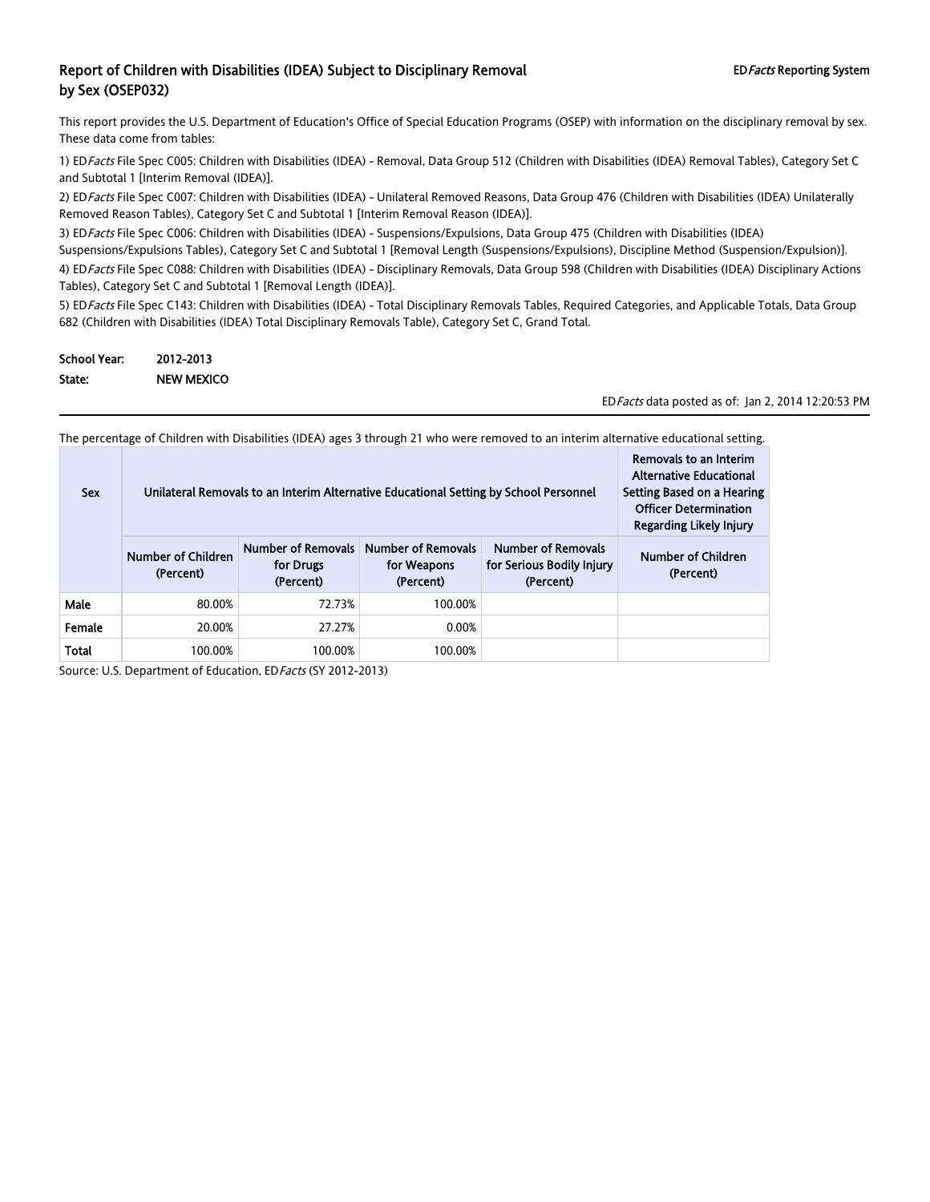This report provides the U.S. Department of Education's Office of Special Education Programs (OSEP) with information on the disciplinary removal by sex. These data come from tables:

1) ED Facts File Spec C005: Children with Disabilities (IDEA) - Removal, Data Group 512 (Children with Disabilities (IDEA) Removal Tables), Category Set C and Subtotal 1 [Interim Removal (IDEA)].

2) ED Facts File Spec C007: Children with Disabilities (IDEA) - Unilateral Removed Reasons, Data Group 476 (Children with Disabilities (IDEA) Unilaterally Removed Reason Tables), Category Set C and Subtotal 1 [Interim Removal Reason (IDEA)].

3) ED Facts File Spec C006: Children with Disabilities (IDEA) - Suspensions/Expulsions, Data Group 475 (Children with Disabilities (IDEA) Suspensions/Expulsions Tables), Category Set C and Subtotal 1 [Removal Length (Suspensions/Expulsions), Discipline Method (Suspension/Expulsion)]. 4) ED Facts File Spec C088: Children with Disabilities (IDEA) - Disciplinary Removals, Data Group 598 (Children with Disabilities (IDEA) Disciplinary Actions Tables), Category Set C and Subtotal 1 [Removal Length (IDEA)].

5) ED Facts File Spec C143: Children with Disabilities (IDEA) - Total Disciplinary Removals Tables, Required Categories, and Applicable Totals, Data Group 682 (Children with Disabilities (IDEA) Total Disciplinary Removals Table), Category Set C, Grand Total.

| <b>School Year:</b> | 2012-2013         |
|---------------------|-------------------|
| State:              | <b>NEW MEXICO</b> |

EDFacts data posted as of: Jan 2, 2014 12:20:53 PM

The percentage of Children with Disabilities (IDEA) ages 3 through 21 who were removed to an interim alternative educational setting.

| <b>Sex</b>   | Unilateral Removals to an Interim Alternative Educational Setting by School Personnel | Removals to an Interim<br><b>Alternative Educational</b><br>Setting Based on a Hearing<br><b>Officer Determination</b><br>Regarding Likely Injury |                                                       |                                                                     |                                 |
|--------------|---------------------------------------------------------------------------------------|---------------------------------------------------------------------------------------------------------------------------------------------------|-------------------------------------------------------|---------------------------------------------------------------------|---------------------------------|
|              | Number of Children<br>(Percent)                                                       | <b>Number of Removals</b><br>for Drugs<br>(Percent)                                                                                               | <b>Number of Removals</b><br>for Weapons<br>(Percent) | <b>Number of Removals</b><br>for Serious Bodily Injury<br>(Percent) | Number of Children<br>(Percent) |
| Male         | 80.00%                                                                                | 72.73%                                                                                                                                            | 100.00%                                               |                                                                     |                                 |
| Female       | 20.00%                                                                                | 27.27%                                                                                                                                            | 0.00%                                                 |                                                                     |                                 |
| <b>Total</b> | 100.00%                                                                               | 100.00%                                                                                                                                           | 100.00%                                               |                                                                     |                                 |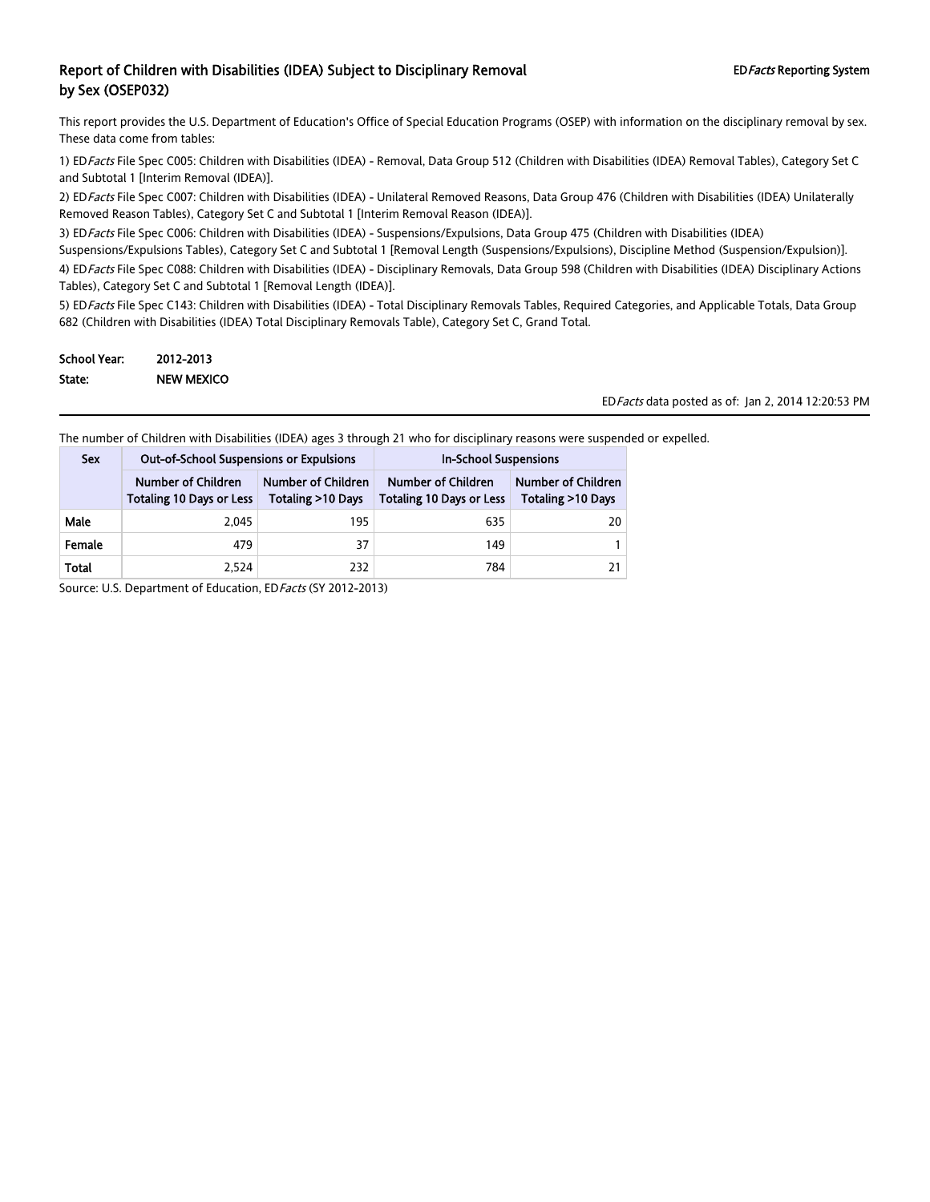This report provides the U.S. Department of Education's Office of Special Education Programs (OSEP) with information on the disciplinary removal by sex. These data come from tables:

1) ED Facts File Spec C005: Children with Disabilities (IDEA) - Removal, Data Group 512 (Children with Disabilities (IDEA) Removal Tables), Category Set C and Subtotal 1 [Interim Removal (IDEA)].

2) ED Facts File Spec C007: Children with Disabilities (IDEA) - Unilateral Removed Reasons, Data Group 476 (Children with Disabilities (IDEA) Unilaterally Removed Reason Tables), Category Set C and Subtotal 1 [Interim Removal Reason (IDEA)].

3) ED Facts File Spec C006: Children with Disabilities (IDEA) - Suspensions/Expulsions, Data Group 475 (Children with Disabilities (IDEA)

Suspensions/Expulsions Tables), Category Set C and Subtotal 1 [Removal Length (Suspensions/Expulsions), Discipline Method (Suspension/Expulsion)].

4) ED Facts File Spec C088: Children with Disabilities (IDEA) - Disciplinary Removals, Data Group 598 (Children with Disabilities (IDEA) Disciplinary Actions Tables), Category Set C and Subtotal 1 [Removal Length (IDEA)].

5) ED Facts File Spec C143: Children with Disabilities (IDEA) - Total Disciplinary Removals Tables, Required Categories, and Applicable Totals, Data Group 682 (Children with Disabilities (IDEA) Total Disciplinary Removals Table), Category Set C, Grand Total.

| <b>School Year:</b> | 2012-2013         |
|---------------------|-------------------|
| State:              | <b>NEW MEXICO</b> |

EDFacts data posted as of: Jan 2, 2014 12:20:53 PM

The number of Children with Disabilities (IDEA) ages 3 through 21 who for disciplinary reasons were suspended or expelled.

| <b>Sex</b> | <b>Out-of-School Suspensions or Expulsions</b><br>Number of Children<br>Number of Children<br><b>Totaling 10 Days or Less</b><br>Totaling >10 Days |     | <b>In-School Suspensions</b>                          |                                                   |  |
|------------|----------------------------------------------------------------------------------------------------------------------------------------------------|-----|-------------------------------------------------------|---------------------------------------------------|--|
|            |                                                                                                                                                    |     | Number of Children<br><b>Totaling 10 Days or Less</b> | Number of Children<br><b>Totaling &gt;10 Days</b> |  |
| Male       | 2.045                                                                                                                                              | 195 | 635                                                   | 20                                                |  |
| Female     | 479                                                                                                                                                | 37  | 149                                                   |                                                   |  |
| Total      | 2.524                                                                                                                                              | 232 | 784                                                   |                                                   |  |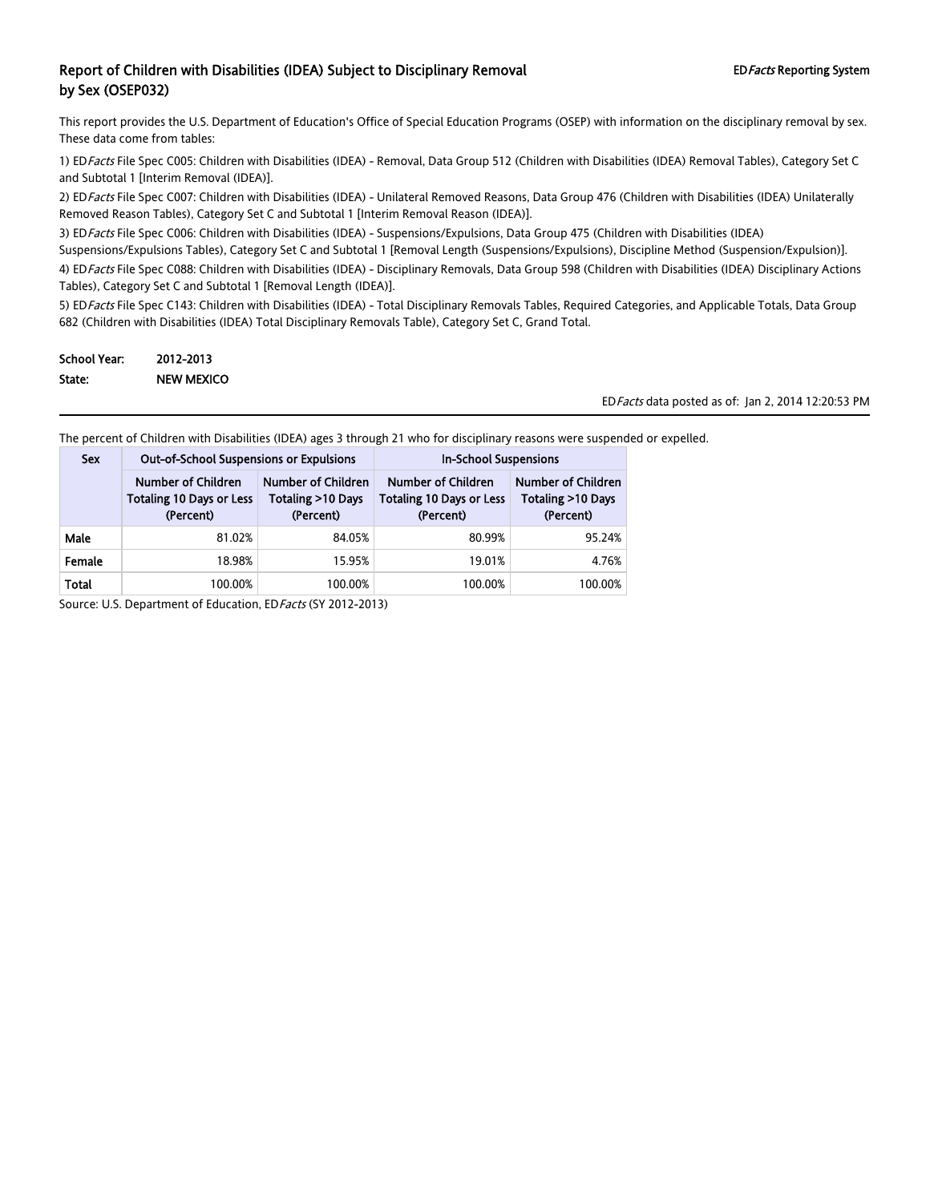This report provides the U.S. Department of Education's Office of Special Education Programs (OSEP) with information on the disciplinary removal by sex. These data come from tables:

1) ED Facts File Spec C005: Children with Disabilities (IDEA) - Removal, Data Group 512 (Children with Disabilities (IDEA) Removal Tables), Category Set C and Subtotal 1 [Interim Removal (IDEA)].

2) ED Facts File Spec C007: Children with Disabilities (IDEA) - Unilateral Removed Reasons, Data Group 476 (Children with Disabilities (IDEA) Unilaterally Removed Reason Tables), Category Set C and Subtotal 1 [Interim Removal Reason (IDEA)].

3) ED Facts File Spec C006: Children with Disabilities (IDEA) - Suspensions/Expulsions, Data Group 475 (Children with Disabilities (IDEA)

Suspensions/Expulsions Tables), Category Set C and Subtotal 1 [Removal Length (Suspensions/Expulsions), Discipline Method (Suspension/Expulsion)].

4) ED Facts File Spec C088: Children with Disabilities (IDEA) - Disciplinary Removals, Data Group 598 (Children with Disabilities (IDEA) Disciplinary Actions Tables), Category Set C and Subtotal 1 [Removal Length (IDEA)].

5) ED Facts File Spec C143: Children with Disabilities (IDEA) - Total Disciplinary Removals Tables, Required Categories, and Applicable Totals, Data Group 682 (Children with Disabilities (IDEA) Total Disciplinary Removals Table), Category Set C, Grand Total.

| School Year: | 2012-2013         |
|--------------|-------------------|
| State:       | <b>NEW MEXICO</b> |

EDFacts data posted as of: Jan 2, 2014 12:20:53 PM

The percent of Children with Disabilities (IDEA) ages 3 through 21 who for disciplinary reasons were suspended or expelled.

| <b>Sex</b> | <b>Out-of-School Suspensions or Expulsions</b>                     |                                                      | <b>In-School Suspensions</b>                                              |                                                             |  |
|------------|--------------------------------------------------------------------|------------------------------------------------------|---------------------------------------------------------------------------|-------------------------------------------------------------|--|
|            | Number of Children<br><b>Totaling 10 Days or Less</b><br>(Percent) | Number of Children<br>Totaling >10 Days<br>(Percent) | <b>Number of Children</b><br><b>Totaling 10 Days or Less</b><br>(Percent) | <b>Number of Children</b><br>Totaling >10 Days<br>(Percent) |  |
| Male       | 81.02%                                                             | 84.05%                                               | 80.99%                                                                    | 95.24%                                                      |  |
| Female     | 18.98%                                                             | 15.95%                                               | 19.01%                                                                    | 4.76%                                                       |  |
| Total      | 100.00%                                                            | 100.00%                                              | 100.00%                                                                   | 100.00%                                                     |  |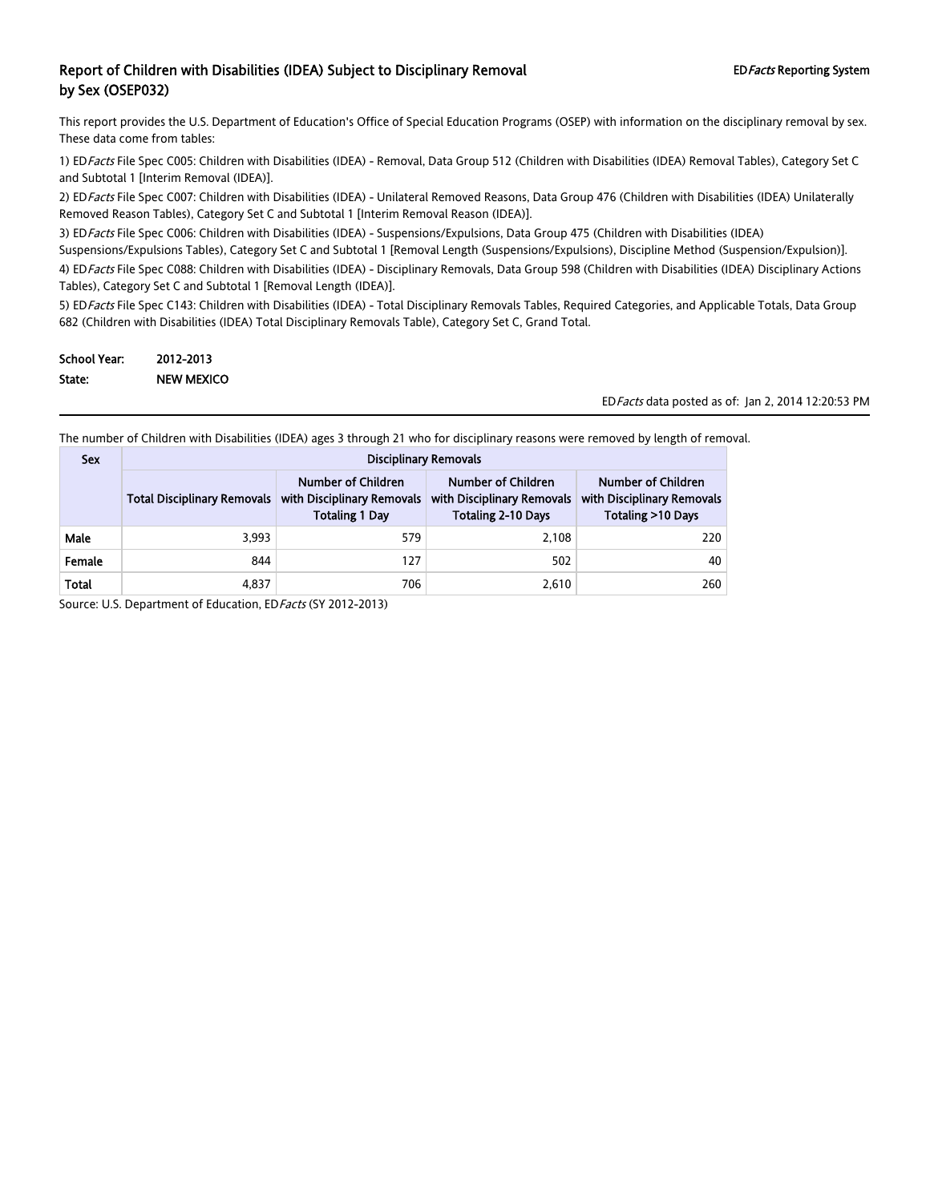This report provides the U.S. Department of Education's Office of Special Education Programs (OSEP) with information on the disciplinary removal by sex. These data come from tables:

1) ED Facts File Spec C005: Children with Disabilities (IDEA) - Removal, Data Group 512 (Children with Disabilities (IDEA) Removal Tables), Category Set C and Subtotal 1 [Interim Removal (IDEA)].

2) ED Facts File Spec C007: Children with Disabilities (IDEA) - Unilateral Removed Reasons, Data Group 476 (Children with Disabilities (IDEA) Unilaterally Removed Reason Tables), Category Set C and Subtotal 1 [Interim Removal Reason (IDEA)].

3) ED Facts File Spec C006: Children with Disabilities (IDEA) - Suspensions/Expulsions, Data Group 475 (Children with Disabilities (IDEA)

Suspensions/Expulsions Tables), Category Set C and Subtotal 1 [Removal Length (Suspensions/Expulsions), Discipline Method (Suspension/Expulsion)].

4) ED Facts File Spec C088: Children with Disabilities (IDEA) - Disciplinary Removals, Data Group 598 (Children with Disabilities (IDEA) Disciplinary Actions Tables), Category Set C and Subtotal 1 [Removal Length (IDEA)].

5) ED Facts File Spec C143: Children with Disabilities (IDEA) - Total Disciplinary Removals Tables, Required Categories, and Applicable Totals, Data Group 682 (Children with Disabilities (IDEA) Total Disciplinary Removals Table), Category Set C, Grand Total.

| <b>School Year:</b> | 2012-2013         |
|---------------------|-------------------|
| State:              | <b>NEW MEXICO</b> |

EDFacts data posted as of: Jan 2, 2014 12:20:53 PM

The number of Children with Disabilities (IDEA) ages 3 through 21 who for disciplinary reasons were removed by length of removal.

| <b>Sex</b> | <b>Disciplinary Removals</b>       |                                                                           |                                                                               |                                                                       |  |  |
|------------|------------------------------------|---------------------------------------------------------------------------|-------------------------------------------------------------------------------|-----------------------------------------------------------------------|--|--|
|            | <b>Total Disciplinary Removals</b> | Number of Children<br>with Disciplinary Removals<br><b>Totaling 1 Day</b> | Number of Children<br>with Disciplinary Removals<br><b>Totaling 2-10 Days</b> | Number of Children<br>with Disciplinary Removals<br>Totaling >10 Days |  |  |
| Male       | 3,993                              | 579                                                                       | 2.108                                                                         | 220                                                                   |  |  |
| Female     | 844                                | 127                                                                       | 502                                                                           | 40                                                                    |  |  |
| Total      | 4,837                              | 706                                                                       | 2,610                                                                         | 260                                                                   |  |  |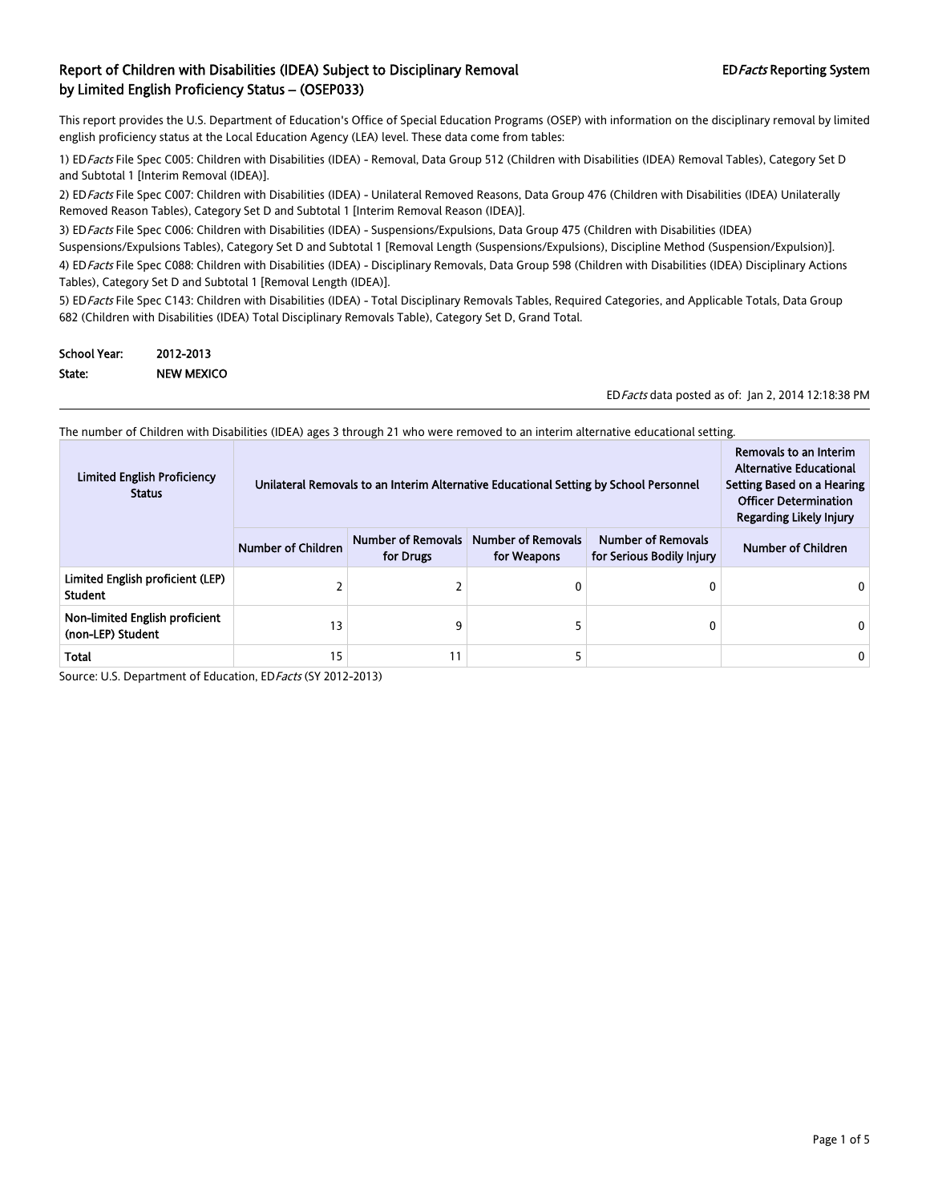This report provides the U.S. Department of Education's Office of Special Education Programs (OSEP) with information on the disciplinary removal by limited english proficiency status at the Local Education Agency (LEA) level. These data come from tables:

1) ED Facts File Spec C005: Children with Disabilities (IDEA) - Removal, Data Group 512 (Children with Disabilities (IDEA) Removal Tables), Category Set D and Subtotal 1 [Interim Removal (IDEA)].

2) ED Facts File Spec C007: Children with Disabilities (IDEA) - Unilateral Removed Reasons, Data Group 476 (Children with Disabilities (IDEA) Unilaterally Removed Reason Tables), Category Set D and Subtotal 1 [Interim Removal Reason (IDEA)].

3) ED Facts File Spec C006: Children with Disabilities (IDEA) - Suspensions/Expulsions, Data Group 475 (Children with Disabilities (IDEA) Suspensions/Expulsions Tables), Category Set D and Subtotal 1 [Removal Length (Suspensions/Expulsions), Discipline Method (Suspension/Expulsion)].

4) ED Facts File Spec C088: Children with Disabilities (IDEA) - Disciplinary Removals, Data Group 598 (Children with Disabilities (IDEA) Disciplinary Actions Tables), Category Set D and Subtotal 1 [Removal Length (IDEA)].

5) ED Facts File Spec C143: Children with Disabilities (IDEA) - Total Disciplinary Removals Tables, Required Categories, and Applicable Totals, Data Group 682 (Children with Disabilities (IDEA) Total Disciplinary Removals Table), Category Set D, Grand Total.

| <b>School Year:</b> | 2012-2013         |
|---------------------|-------------------|
| State:              | <b>NEW MEXICO</b> |

EDFacts data posted as of: Jan 2, 2014 12:18:38 PM

The number of Children with Disabilities (IDEA) ages 3 through 21 who were removed to an interim alternative educational setting.

| <b>Limited English Proficiency</b><br><b>Status</b> | Unilateral Removals to an Interim Alternative Educational Setting by School Personnel | Removals to an Interim<br><b>Alternative Educational</b><br>Setting Based on a Hearing<br><b>Officer Determination</b><br>Regarding Likely Injury |                                          |                                                        |                    |
|-----------------------------------------------------|---------------------------------------------------------------------------------------|---------------------------------------------------------------------------------------------------------------------------------------------------|------------------------------------------|--------------------------------------------------------|--------------------|
|                                                     | <b>Number of Children</b>                                                             | <b>Number of Removals</b><br>for Drugs                                                                                                            | <b>Number of Removals</b><br>for Weapons | <b>Number of Removals</b><br>for Serious Bodily Injury | Number of Children |
| Limited English proficient (LEP)<br><b>Student</b>  |                                                                                       |                                                                                                                                                   |                                          | 0                                                      |                    |
| Non-limited English proficient<br>(non-LEP) Student | 13                                                                                    | 9                                                                                                                                                 |                                          | 0                                                      | 0                  |
| <b>Total</b>                                        | 15                                                                                    | 11                                                                                                                                                |                                          |                                                        | 0                  |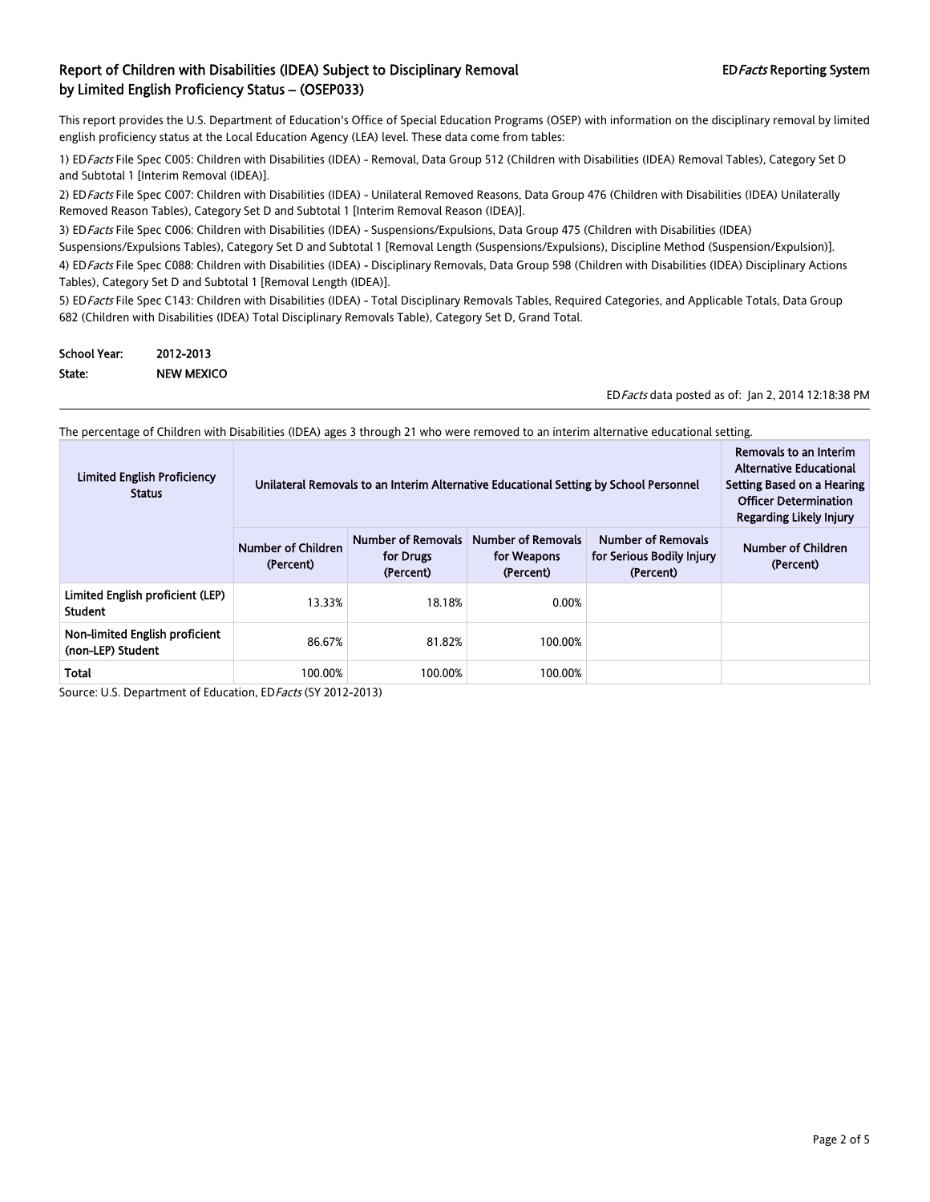This report provides the U.S. Department of Education's Office of Special Education Programs (OSEP) with information on the disciplinary removal by limited english proficiency status at the Local Education Agency (LEA) level. These data come from tables:

1) ED Facts File Spec C005: Children with Disabilities (IDEA) - Removal, Data Group 512 (Children with Disabilities (IDEA) Removal Tables), Category Set D and Subtotal 1 [Interim Removal (IDEA)].

2) ED Facts File Spec C007: Children with Disabilities (IDEA) - Unilateral Removed Reasons, Data Group 476 (Children with Disabilities (IDEA) Unilaterally Removed Reason Tables), Category Set D and Subtotal 1 [Interim Removal Reason (IDEA)].

3) ED Facts File Spec C006: Children with Disabilities (IDEA) - Suspensions/Expulsions, Data Group 475 (Children with Disabilities (IDEA) Suspensions/Expulsions Tables), Category Set D and Subtotal 1 [Removal Length (Suspensions/Expulsions), Discipline Method (Suspension/Expulsion)].

4) ED Facts File Spec C088: Children with Disabilities (IDEA) - Disciplinary Removals, Data Group 598 (Children with Disabilities (IDEA) Disciplinary Actions Tables), Category Set D and Subtotal 1 [Removal Length (IDEA)].

5) ED Facts File Spec C143: Children with Disabilities (IDEA) - Total Disciplinary Removals Tables, Required Categories, and Applicable Totals, Data Group 682 (Children with Disabilities (IDEA) Total Disciplinary Removals Table), Category Set D, Grand Total.

| <b>School Year:</b> | 2012-2013         |
|---------------------|-------------------|
| State:              | <b>NEW MEXICO</b> |

EDFacts data posted as of: Jan 2, 2014 12:18:38 PM

The percentage of Children with Disabilities (IDEA) ages 3 through 21 who were removed to an interim alternative educational setting.

| <b>Limited English Proficiency</b><br><b>Status</b> |                                 | Unilateral Removals to an Interim Alternative Educational Setting by School Personnel | Removals to an Interim<br><b>Alternative Educational</b><br>Setting Based on a Hearing<br><b>Officer Determination</b><br>Regarding Likely Injury |                                                                     |                                 |
|-----------------------------------------------------|---------------------------------|---------------------------------------------------------------------------------------|---------------------------------------------------------------------------------------------------------------------------------------------------|---------------------------------------------------------------------|---------------------------------|
|                                                     | Number of Children<br>(Percent) | Number of Removals<br>for Drugs<br>(Percent)                                          | <b>Number of Removals</b><br>for Weapons<br>(Percent)                                                                                             | <b>Number of Removals</b><br>for Serious Bodily Injury<br>(Percent) | Number of Children<br>(Percent) |
| Limited English proficient (LEP)<br>Student         | 13.33%                          | 18.18%                                                                                | 0.00%                                                                                                                                             |                                                                     |                                 |
| Non-limited English proficient<br>(non-LEP) Student | 86.67%                          | 81.82%                                                                                | 100.00%                                                                                                                                           |                                                                     |                                 |
| Total                                               | 100.00%                         | 100.00%                                                                               | 100.00%                                                                                                                                           |                                                                     |                                 |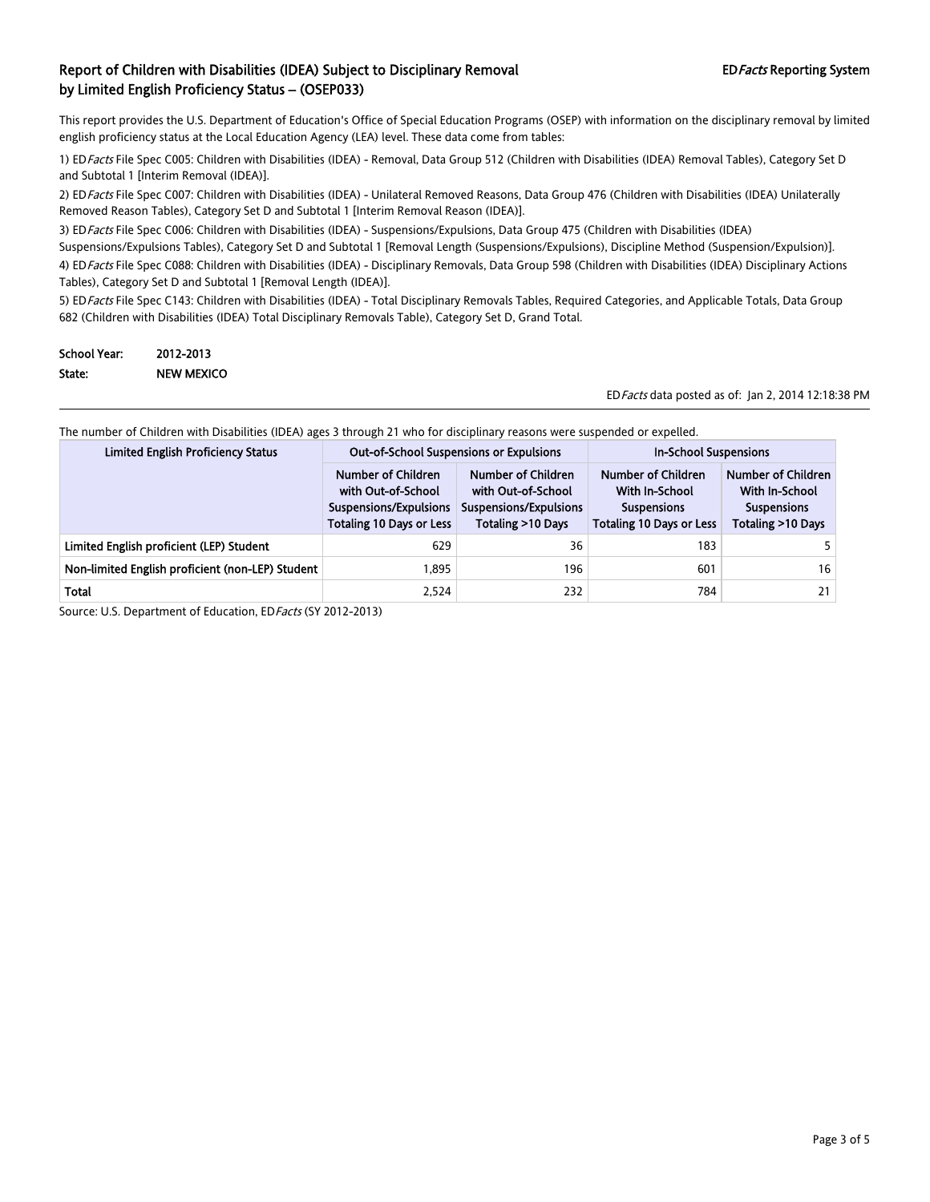This report provides the U.S. Department of Education's Office of Special Education Programs (OSEP) with information on the disciplinary removal by limited english proficiency status at the Local Education Agency (LEA) level. These data come from tables:

1) ED Facts File Spec C005: Children with Disabilities (IDEA) - Removal, Data Group 512 (Children with Disabilities (IDEA) Removal Tables), Category Set D and Subtotal 1 [Interim Removal (IDEA)].

2) ED Facts File Spec C007: Children with Disabilities (IDEA) - Unilateral Removed Reasons, Data Group 476 (Children with Disabilities (IDEA) Unilaterally Removed Reason Tables), Category Set D and Subtotal 1 [Interim Removal Reason (IDEA)].

3) ED Facts File Spec C006: Children with Disabilities (IDEA) - Suspensions/Expulsions, Data Group 475 (Children with Disabilities (IDEA)

Suspensions/Expulsions Tables), Category Set D and Subtotal 1 [Removal Length (Suspensions/Expulsions), Discipline Method (Suspension/Expulsion)].

4) ED Facts File Spec C088: Children with Disabilities (IDEA) - Disciplinary Removals, Data Group 598 (Children with Disabilities (IDEA) Disciplinary Actions Tables), Category Set D and Subtotal 1 [Removal Length (IDEA)].

5) ED Facts File Spec C143: Children with Disabilities (IDEA) - Total Disciplinary Removals Tables, Required Categories, and Applicable Totals, Data Group 682 (Children with Disabilities (IDEA) Total Disciplinary Removals Table), Category Set D, Grand Total.

| <b>School Year:</b> | 2012-2013         |
|---------------------|-------------------|
| State:              | <b>NEW MEXICO</b> |

EDFacts data posted as of: Jan 2, 2014 12:18:38 PM

The number of Children with Disabilities (IDEA) ages 3 through 21 who for disciplinary reasons were suspended or expelled.

| <b>Limited English Proficiency Status</b>        | <b>Out-of-School Suspensions or Expulsions</b>                                                        |                                                                                         | <b>In-School Suspensions</b>                                                                         |                                                                                        |
|--------------------------------------------------|-------------------------------------------------------------------------------------------------------|-----------------------------------------------------------------------------------------|------------------------------------------------------------------------------------------------------|----------------------------------------------------------------------------------------|
|                                                  | Number of Children<br>with Out-of-School<br>Suspensions/Expulsions<br><b>Totaling 10 Days or Less</b> | Number of Children<br>with Out-of-School<br>Suspensions/Expulsions<br>Totaling >10 Days | Number of Children<br><b>With In-School</b><br><b>Suspensions</b><br><b>Totaling 10 Days or Less</b> | Number of Children<br><b>With In-School</b><br><b>Suspensions</b><br>Totaling >10 Days |
| Limited English proficient (LEP) Student         | 629                                                                                                   | 36                                                                                      | 183                                                                                                  |                                                                                        |
| Non-limited English proficient (non-LEP) Student | 1.895                                                                                                 | 196                                                                                     | 601                                                                                                  | 16                                                                                     |
| Total                                            | 2,524                                                                                                 | 232                                                                                     | 784                                                                                                  | 21                                                                                     |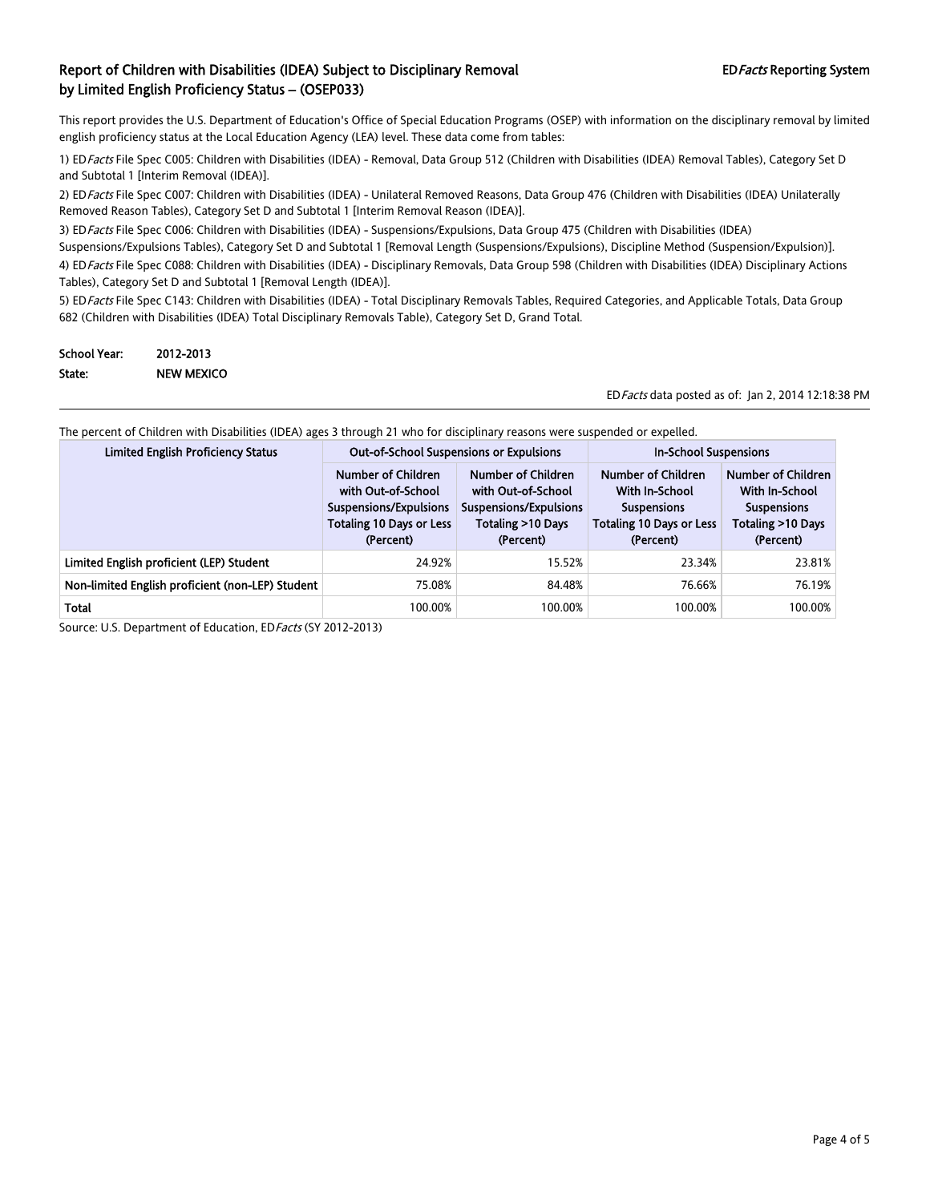This report provides the U.S. Department of Education's Office of Special Education Programs (OSEP) with information on the disciplinary removal by limited english proficiency status at the Local Education Agency (LEA) level. These data come from tables:

1) ED Facts File Spec C005: Children with Disabilities (IDEA) - Removal, Data Group 512 (Children with Disabilities (IDEA) Removal Tables), Category Set D and Subtotal 1 [Interim Removal (IDEA)].

2) ED Facts File Spec C007: Children with Disabilities (IDEA) - Unilateral Removed Reasons, Data Group 476 (Children with Disabilities (IDEA) Unilaterally Removed Reason Tables), Category Set D and Subtotal 1 [Interim Removal Reason (IDEA)].

3) ED Facts File Spec C006: Children with Disabilities (IDEA) - Suspensions/Expulsions, Data Group 475 (Children with Disabilities (IDEA) Suspensions/Expulsions Tables), Category Set D and Subtotal 1 [Removal Length (Suspensions/Expulsions), Discipline Method (Suspension/Expulsion)].

4) ED Facts File Spec C088: Children with Disabilities (IDEA) - Disciplinary Removals, Data Group 598 (Children with Disabilities (IDEA) Disciplinary Actions Tables), Category Set D and Subtotal 1 [Removal Length (IDEA)].

5) ED Facts File Spec C143: Children with Disabilities (IDEA) - Total Disciplinary Removals Tables, Required Categories, and Applicable Totals, Data Group 682 (Children with Disabilities (IDEA) Total Disciplinary Removals Table), Category Set D, Grand Total.

| <b>School Year:</b> | 2012-2013         |
|---------------------|-------------------|
| State:              | <b>NEW MEXICO</b> |

EDFacts data posted as of: Jan 2, 2014 12:18:38 PM

|  |  | The percent of Children with Disabilities (IDEA) ages 3 through 21 who for disciplinary reasons were suspended or expelled. |  |
|--|--|-----------------------------------------------------------------------------------------------------------------------------|--|
|  |  |                                                                                                                             |  |

| <b>Limited English Proficiency Status</b>        | <b>Out-of-School Suspensions or Expulsions</b>                                                                     |                                                                                                      | <b>In-School Suspensions</b>                                                                               |                                                                                              |
|--------------------------------------------------|--------------------------------------------------------------------------------------------------------------------|------------------------------------------------------------------------------------------------------|------------------------------------------------------------------------------------------------------------|----------------------------------------------------------------------------------------------|
|                                                  | Number of Children<br>with Out-of-School<br>Suspensions/Expulsions<br><b>Totaling 10 Days or Less</b><br>(Percent) | Number of Children<br>with Out-of-School<br>Suspensions/Expulsions<br>Totaling >10 Days<br>(Percent) | Number of Children<br>With In-School<br><b>Suspensions</b><br><b>Totaling 10 Days or Less</b><br>(Percent) | Number of Children<br>With In-School<br><b>Suspensions</b><br>Totaling >10 Days<br>(Percent) |
| Limited English proficient (LEP) Student         | 24.92%                                                                                                             | 15.52%                                                                                               | 23.34%                                                                                                     | 23.81%                                                                                       |
| Non-limited English proficient (non-LEP) Student | 75.08%                                                                                                             | 84.48%                                                                                               | 76.66%                                                                                                     | 76.19%                                                                                       |
| Total                                            | 100.00%                                                                                                            | 100.00%                                                                                              | 100.00%                                                                                                    | 100.00%                                                                                      |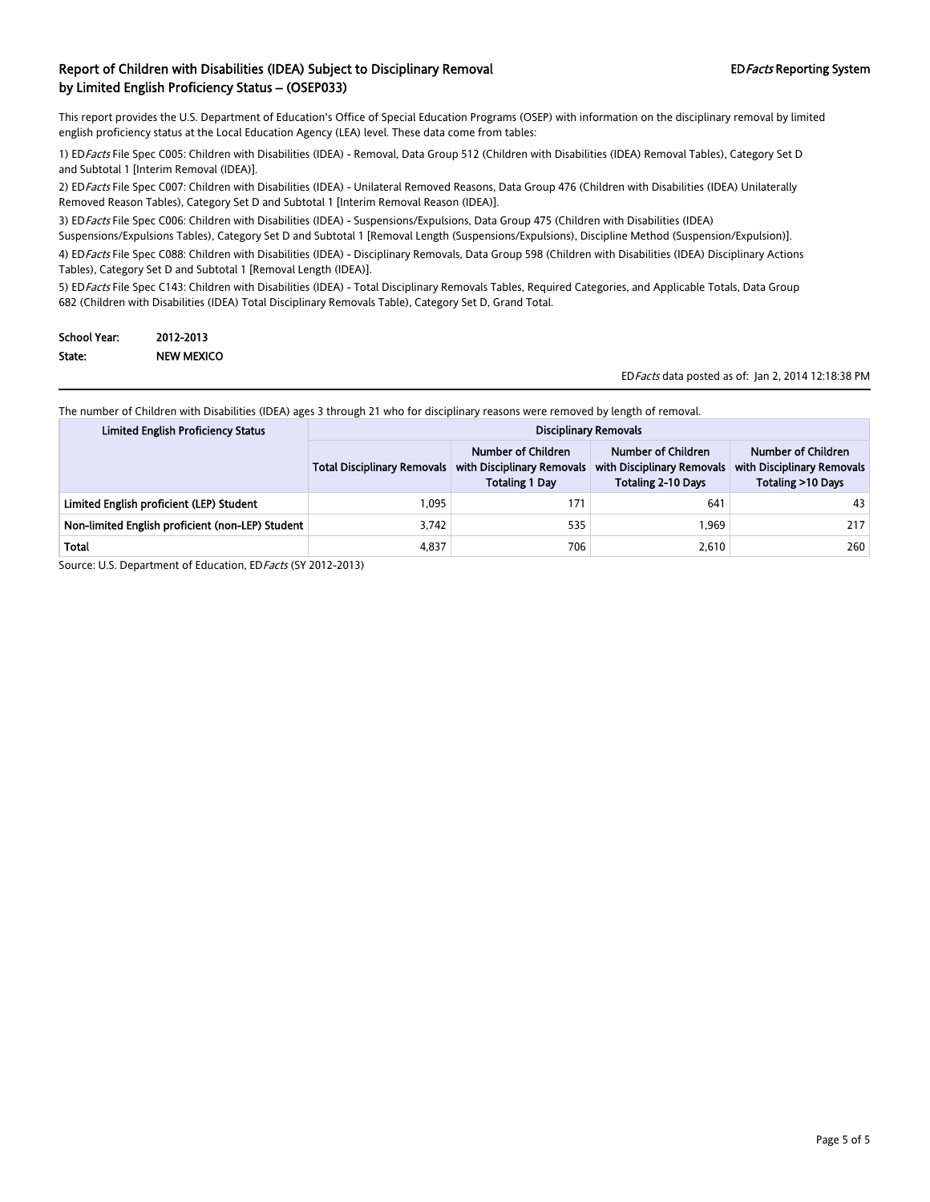This report provides the U.S. Department of Education's Office of Special Education Programs (OSEP) with information on the disciplinary removal by limited english proficiency status at the Local Education Agency (LEA) level. These data come from tables:

1) EDFacts File Spec C005: Children with Disabilities (IDEA) - Removal, Data Group 512 (Children with Disabilities (IDEA) Removal Tables), Category Set D and Subtotal 1 [Interim Removal (IDEA)].

2) EDFacts File Spec C007: Children with Disabilities (IDEA) - Unilateral Removed Reasons, Data Group 476 (Children with Disabilities (IDEA) Unilaterally Removed Reason Tables), Category Set D and Subtotal 1 [Interim Removal Reason (IDEA)].

3) ED Facts File Spec C006: Children with Disabilities (IDEA) - Suspensions/Expulsions, Data Group 475 (Children with Disabilities (IDEA)

Suspensions/Expulsions Tables), Category Set D and Subtotal 1 [Removal Length (Suspensions/Expulsions), Discipline Method (Suspension/Expulsion)].

4) EDFacts File Spec C088: Children with Disabilities (IDEA) - Disciplinary Removals, Data Group 598 (Children with Disabilities (IDEA) Disciplinary Actions Tables), Category Set D and Subtotal 1 [Removal Length (IDEA)].

5) EDFacts File Spec C143: Children with Disabilities (IDEA) - Total Disciplinary Removals Tables, Required Categories, and Applicable Totals, Data Group 682 (Children with Disabilities (IDEA) Total Disciplinary Removals Table), Category Set D, Grand Total.

| <b>School Year:</b> | 2012-2013         |
|---------------------|-------------------|
| State:              | <b>NEW MEXICO</b> |

EDFacts data posted as of: Jan 2, 2014 12:18:38 PM

The number of Children with Disabilities (IDEA) ages 3 through 21 who for disciplinary reasons were removed by length of removal.

| <b>Limited English Proficiency Status</b>        | <b>Disciplinary Removals</b>       |                                                                           |                                                                               |                                                                       |
|--------------------------------------------------|------------------------------------|---------------------------------------------------------------------------|-------------------------------------------------------------------------------|-----------------------------------------------------------------------|
|                                                  | <b>Total Disciplinary Removals</b> | Number of Children<br>with Disciplinary Removals<br><b>Totaling 1 Day</b> | Number of Children<br>with Disciplinary Removals<br><b>Totaling 2-10 Days</b> | Number of Children<br>with Disciplinary Removals<br>Totaling >10 Days |
| Limited English proficient (LEP) Student         | 1.095                              | 171                                                                       | 641                                                                           | 43                                                                    |
| Non-limited English proficient (non-LEP) Student | 3.742                              | 535                                                                       | 1.969                                                                         | 217                                                                   |
| Total                                            | 4,837                              | 706                                                                       | 2,610                                                                         | 260                                                                   |